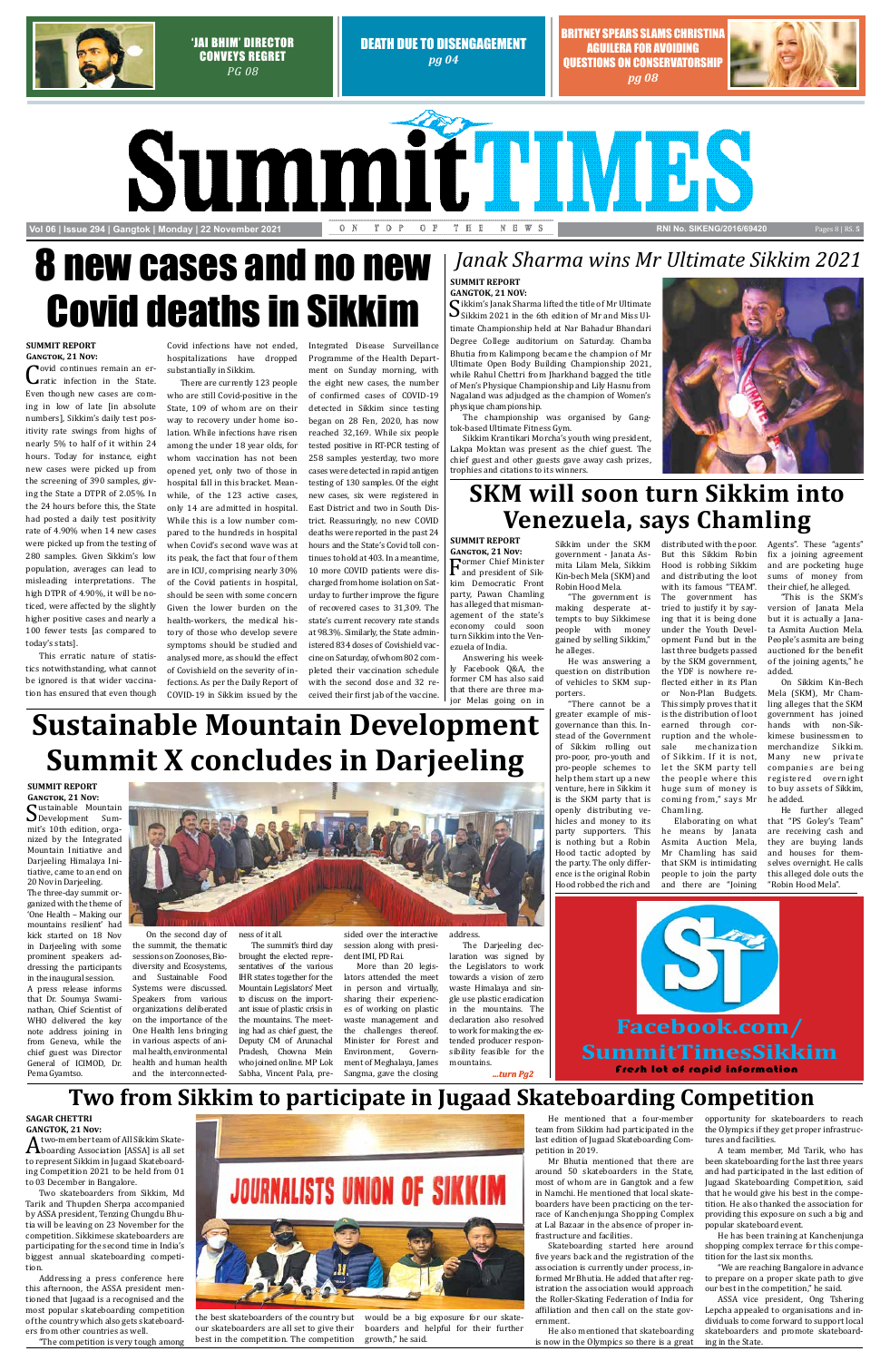Death Due to Disengagement *pg 04* 

'Jai Bhim' director conveys regret *Pg 08*

Britney Spears slams Christina Aguilera for avoiding questions on conservatorship *pg 08*

**Summit Report** GANGTOK, 21 NOV: Sustainable Mountain<br>Development Sum-<br>mit's 10th edition, orgat's 10th edition, orga-





Pages 8 | Rs. **5**

# **SummitTIMES Vol 06 | Issue 294 | Gangtok | Monday | 22 November 2021 RNI NO. AUTOR OF THE NEWS RNI No. SIKENG/2016/69420**



# **Sustainable Mountain Development Summit X concludes in Darjeeling**

nized by the Integrated Mountain Initiative and Darjeeling Himalaya Initiative, came to an end on 20 Nov in Darjeeling.

The three-day summit organized with the theme of 'One Health – Making our mountains resilient' had kick started on 18 Nov in Darjeeling with some prominent speakers addressing the participants in the inaugural session. A press release informs that Dr. Soumya Swaminathan, Chief Scientist of WHO delivered the key note address joining in from Geneva, while the chief guest was Director General of ICIMOD, Dr. Pema Gyamtso.

On the second day of the summit, the thematic sessions on Zoonoses, Biodiversity and Ecosystems,<br>and Sustainable Food Sustainable Food Systems were discussed. Speakers from various organizations deliberated on the importance of the One Health lens bringing in various aspects of animal health, environmental health and human health

and the interconnectedness of it all. The summit's third day brought the elected representatives of the various IHR states together for the Mountain Legislators' Meet to discuss on the important issue of plastic crisis in the mountains. The meeting had as chief guest, the Deputy CM of Arunachal Pradesh, Chowna Mein who joined online. MP Lok Sabha, Vincent Pala, pre-

sided over the interactive session along with president IMI, PD Rai.

**C**ovid continues remain an er-<br>Even though new cases are comratic infection in the State. Even though new cases are coming in low of late [in absolute numbers], Sikkim's daily test positivity rate swings from highs of nearly 5% to half of it within 24 hours. Today for instance, eight new cases were picked up from the screening of 390 samples, giving the State a DTPR of 2.05%. In the 24 hours before this, the State had posted a daily test positivity rate of 4.90% when 14 new cases were picked up from the testing of 280 samples. Given Sikkim's low population, averages can lead to misleading interpretations. The high DTPR of 4.90%, it will be noticed, were affected by the slightly higher positive cases and nearly a 100 fewer tests [as compared to today's stats].

> More than 20 legislators attended the meet in person and virtually, sharing their experiences of working on plastic waste management and the challenges thereof. Minister for Forest and<br>Environment, Govern-Environment, ment of Meghalaya, James Sangma, gave the closing

address. The Darjeeling declaration was signed by the Legislators to work towards a vision of zero waste Himalaya and single use plastic eradication in the mountains. The declaration also resolved to work for making the extended producer responsibility feasible for the mountains.

# **SKM will soon turn Sikkim into Venezuela, says Chamling**

**Summit Report Gangtok, 21 Nov: Former Chief Minister**<br>
kim Democratic Front kim Democratic Front party, Pawan Chamling has alleged that mismanagement of the state's economy could soon turn Sikkim into the Venezuela of India.

Answering his weekly Facebook Q&A, the former CM has also said that there are three major Melas going on in

# 8 new cases and no new Covid deaths in Sikkim

### **Summit Report Gangtok, 21 Nov:**

Sikkim's Janak Sharma lifted the title of Mr Ultimate<br>Sikkim 2021 in the 6th edition of Mr and Miss Ultimate Championship hold at Nar Bahadur Bhandari timate Championship held at Nar Bahadur Bhandari Degree College auditorium on Saturday. Chamba Bhutia from Kalimpong became the champion of Mr Ultimate Open Body Building Championship 2021, while Rahul Chettri from Jharkhand bagged the title of Men's Physique Championship and Lily Hasnu from Nagaland was adjudged as the champion of Women's physique championship.

This erratic nature of statistics notwithstanding, what cannot be ignored is that wider vaccination has ensured that even though

Covid infections have not ended, hospitalizations have dropped substantially in Sikkim.

There are currently 123 people who are still Covid-positive in the State, 109 of whom are on their way to recovery under home isolation. While infections have risen among the under 18 year olds, for whom vaccination has not been opened yet, only two of those in hospital fall in this bracket. Meanwhile, of the 123 active cases, only 14 are admitted in hospital. While this is a low number compared to the hundreds in hospital when Covid's second wave was at its peak, the fact that four of them are in ICU, comprising nearly 30% of the Covid patients in hospital, should be seen with some concern Given the lower burden on the health-workers, the medical history of those who develop severe symptoms should be studied and analysed more, as should the effect of Covishield on the severity of infections. As per the Daily Report of COVID-19 in Sikkim issued by the

### **SAGAR CHETTRI GANGTOK, 21 Nov:**

Integrated Disease Surveillance Programme of the Health Department on Sunday morning, with the eight new cases, the number of confirmed cases of COVID-19 detected in Sikkim since testing began on 28 Fen, 2020, has now reached 32,169. While six people tested positive in RT-PCR testing of 258 samples yesterday, two more cases were detected in rapid antigen testing of 130 samples. Of the eight new cases, six were registered in East District and two in South District. Reassuringly, no new COVID deaths were reported in the past 24 hours and the State's Covid toll continues to hold at 403. In a meantime, 10 more COVID patients were discharged from home isolation on Saturday to further improve the figure of recovered cases to 31,309. The state's current recovery rate stands at 98.3%. Similarly, the State administered 834 doses of Covishield vaccine on Saturday, of whom 802 completed their vaccination schedule with the second dose and 32 received their first jab of the vaccine.

### *Janak Sharma wins Mr Ultimate Sikkim 2021* **Summit Report**

### **GANGTOK, 21 Nov:**

The championship was organised by Gangtok-based Ultimate Fitness Gym.

Sikkim Krantikari Morcha's youth wing president, Lakpa Moktan was present as the chief guest. The chief guest and other guests gave away cash prizes, trophies and citations to its winners.



# **Two from Sikkim to participate in Jugaad Skateboarding Competition**

Sikkim under the SKM government - Janata Asmita Lilam Mela, Sikkim Kin-bech Mela (SKM) and Robin Hood Mela.

"The government is making desperate attempts to buy Sikkimese people with money gained by selling Sikkim," he alleges.

He was answering a question on distribution of vehicles to SKM supporters.

"There cannot be a greater example of misgovernance than this. Instead of the Government of Sikkim rolling out pro-poor, pro-youth and pro-people schemes to help them start up a new venture, here in Sikkim it is the SKM party that is openly distributing vehicles and money to its

Hood tactic adopted by the party. The only difference is the original Robin Hood robbed the rich and

party supporters. This he means by Janata is nothing but a Robin Asmita Auction Mela, Mr Chamling has said that SKM is intimidating people to join the party and there are "Joining

distributed with the poor. Agents". These "agents" But this Sikkim Robin Hood is robbing Sikkim and distributing the loot with its famous "TEAM". fix a joining agreement and are pocketing huge sums of money from their chief, he alleged.

The government has tried to justify it by saying that it is being done under the Youth Development Fund but in the last three budgets passed by the SKM government, the YDF is nowhere re-"This is the SKM's version of Janata Mela but it is actually a Janata Asmita Auction Mela. People's asmita are being auctioned for the benefit of the joining agents," he added.

Chamling.

flected either in its Plan or Non-Plan Budgets. This simply proves that it is the distribution of loot earned through corruption and the whole-<br>sale mechanization mechanization of Sikkim. If it is not, let the SKM party tell the people where this huge sum of money is coming from," says Mr On Sikkim Kin-Bech Mela (SKM), Mr Chamling alleges that the SKM government has joined hands with non-Sikkimese businessmen to<br>merchandize Sikkim. merchandize Sikkim.<br>Many new private Many new companies are being registered overnight to buy assets of Sikkim, he added.

Elaborating on what that "PS Goley's Team" He further alleged

are receiving cash and they are buying lands and houses for themselves overnight. He calls this alleged dole outs the "Robin Hood Mela".

A two-member team of All Sikkim Skate-boarding Association [ASSA] is all set to represent Sikkim in Jugaad Skateboarding Competition 2021 to be held from 01 to 03 December in Bangalore.

Two skateboarders from Sikkim, Md Tarik and Thupden Sherpa accompanied by ASSA president, Tenzing Chungdu Bhutia will be leaving on 23 November for the competition. Sikkimese skateboarders are participating for the second time in India's biggest annual skateboarding competition.

Addressing a press conference here this afternoon, the ASSA president mentioned that Jugaad is a recognised and the most popular skateboarding competition of the country which also gets skateboarders from other countries as well.

"The competition is very tough among



the best skateboarders of the country but our skateboarders are all set to give their best in the competition. The competition

would be a big exposure for our skateboarders and helpful for their further growth," he said.

He mentioned that a four-member team from Sikkim had participated in the last edition of Jugaad Skateboarding Competition in 2019.

Mr Bhutia mentioned that there are around 50 skateboarders in the State, most of whom are in Gangtok and a few in Namchi. He mentioned that local skateboarders have been practicing on the terrace of Kanchenjunga Shopping Complex at Lal Bazaar in the absence of proper infrastructure and facilities.

Skateboarding started here around five years back and the registration of the association is currently under process, informed Mr Bhutia. He added that after registration the association would approach the Roller-Skating Federation of India for affiliation and then call on the state government.

He also mentioned that skateboarding is now in the Olympics so there is a great opportunity for skateboarders to reach the Olympics if they get proper infrastructures and facilities.

A team member, Md Tarik, who has been skateboarding for the last three years and had participated in the last edition of Jugaad Skateboarding Competition, said that he would give his best in the competition. He also thanked the association for providing this exposure on such a big and popular skateboard event.

He has been training at Kanchenjunga shopping complex terrace for this competition for the last six months.

"We are reaching Bangalore in advance to prepare on a proper skate path to give our best in the competition," he said.

ASSA vice president, Ong Tshering Lepcha appealed to organisations and individuals to come forward to support local skateboarders and promote skateboarding in the State.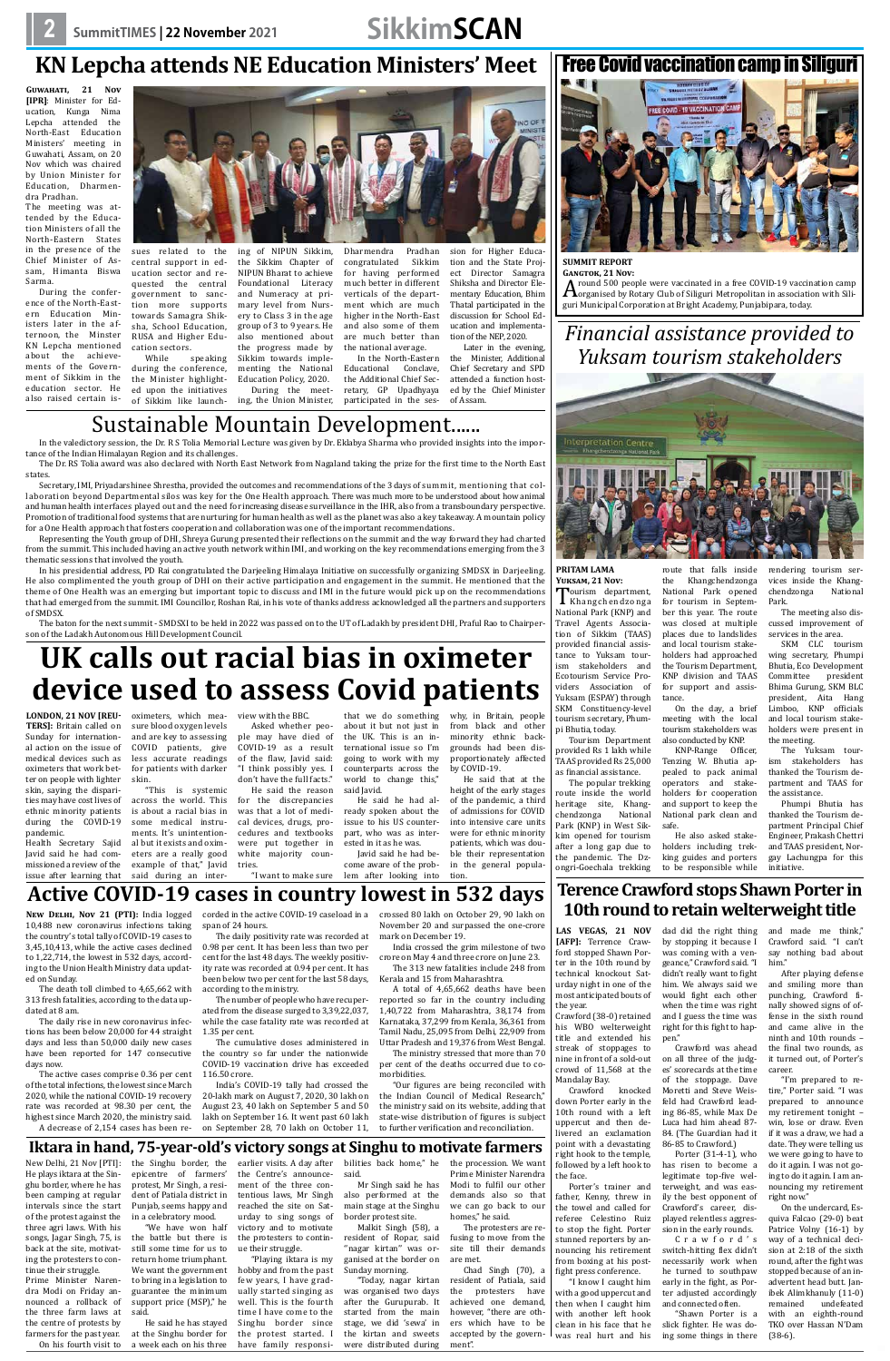## **KN Lepcha attends NE Education Ministers' Meet**

**Guwahati, 21 Nov [IPR]**: Minister for Education, Kunga Nima Lepcha attended the North-East Education Ministers' meeting in Guwahati, Assam, on 20 Nov which was chaired by Union Minister for Education, Dharmendra Pradhan.

> sues related to the central support in education sector and requested the central government to sanction more supports towards Samagra Shiksha, School Education, RUSA and Higher Education sectors.<br>While s

The meeting was attended by the Education Ministers of all the North-Eastern States in the presence of the Chief Minister of Assam, Himanta Biswa Sarma.

During the conference of the North-Eastern Education Ministers later in the afternoon, the Minster KN Lepcha mentioned about the achievements of the Government of Sikkim in the education sector. He also raised certain isspeaking ing of NIPUN Sikkim, the Sikkim Chapter of NIPUN Bharat to achieve Foundational Literacy and Numeracy at primary level from Nursery to Class 3 in the age group of 3 to 9 years. He also mentioned about the progress made by Sikkim towards implementing the National Dharmendra Pradhan<br>congratulated Sikkim congratulated for having performed much better in different verticals of the department which are much higher in the North-East and also some of them are much better than the national average.

during the conference, the Minister highlighted upon the initiatives of Sikkim like launch-



A round 500 people were vaccinated in a free COVID-19 vaccination camp<br>A organised by Rotary Club of Siliguri Metropolitan in association with Siliguri Municipal Corporation at Bright Academy, Punjabipara, today. guri Municipal Corporation at Bright Academy, Punjabipara, today.

Education Policy, 2020. During the meeting, the Union Minister,

> I Courism department,<br>Khangchendzonga<br>National Park (KNP) and National Park (KNP) and Travel Agents Association of Sikkim (TAAS) provided financial assistance to Yuksam tourism stakeholders and Ecotourism Service Providers Association of Yuksam (ESPAY) through SKM Constituency-level tourism secretary, Phum-

In the North-Eastern Educational Conclave, the Additional Chief Secretary, GP Upadhyaya participated in the ses-

sion for Higher Education and the State Project Director Samagra Shiksha and Director Elementary Education, Bhim Thatal participated in the discussion for School Education and implementation of the NEP, 2020. Later in the evening,

> route that falls inside<br>the Khangchendzonga Khangchendzonga National Park opened for tourism in September this year. The route rendering tourism services inside the Khangchendzonga Park. The meeting also dis-

the Minister, Additional Chief Secretary and SPD attended a function hosted by the Chief Minister of Assam.

### Free Covid vaccination camp in Siliguri



**Summit Report Gangtok, 21 Nov:**

### *Financial assistance provided to Yuksam tourism stakeholders*



### **PRITAM LAMA Yuksam, 21 Nov:**

pi Bhutia, today. Tourism Department provided Rs 1 lakh while TAAS provided Rs 25,000 as financial assistance.

kim opened for tourism after a long gap due to the pandemic. The Dzongri-Goechala trekking

The popular trekking route inside the world heritage site, Khangchendzonga National Park (KNP) in West Sikpealed to pack animal operators and stakeholders for cooperation and support to keep the National park clean and safe.

was closed at multiple places due to landslides and local tourism stakeholders had approached the Tourism Department, KNP division and TAAS for support and assis-

tance.

On the day, a brief meeting with the local tourism stakeholders was also conducted by KNP. KNP-Range Officer, Tenzing W. Bhutia ap-

He also asked stakeholders including trekking guides and porters to be responsible while

cussed improvement of services in the area.

SKM CLC tourism wing secretary, Phumpi Bhutia, Eco Development Committee president Bhima Gurung, SKM BLC president, Aita Hang Limboo, KNP officials and local tourism stakeholders were present in the meeting.

The Yuksam tourism stakeholders has thanked the Tourism department and TAAS for the assistance.

Phumpi Bhutia has thanked the Tourism department Principal Chief Engineer, Prakash Chettri and TAAS president, Norgay Lachungpa for this initiative.

**[AFP]:** Terrence Crawford stopped Shawn Porter in the 10th round by technical knockout Saturday night in one of the most anticipated bouts of the year.

Crawford (38-0) retained his WBO welterweight title and extended his streak of stoppages to nine in front of a sold-out crowd of 11,568 at the

Mandalay Bay. Crawford knocked down Porter early in the 10th round with a left uppercut and then delivered an exclamation point with a devastating right hook to the temple, followed by a left hook to the face.

Porter's trainer and father, Kenny, threw in the towel and called for referee Celestino Ruiz to stop the fight. Porter stunned reporters by announcing his retirement from boxing at his post-

fight press conference.

"I know I caught him with a good uppercut and then when I caught him with another left hook clean in his face that he was real hurt and his

### **Terence Crawford stops Shawn Porter in 10th round to retain welterweight title Las Vegas, 21 Nov** dad did the right thing and made me think,"

pen."

of the stoppage. Dave Moretti and Steve Weisfeld had Crawford leading 86-85, while Max De Luca had him ahead 87- 84. (The Guardian had it 86-85 to Crawford.) Porter (31-4-1), who

by stopping it because I was coming with a vengeance," Crawford said. "I didn't really want to fight him. We always said we would fight each other when the time was right and I guess the time was right for this fight to hapnally showed signs of offense in the sixth round

has risen to become a legitimate top-five welterweight, and was easily the best opponent of Crawford's career, displayed relentless aggres-

Crawford was ahead on all three of the judges' scorecards at the time career.

sion in the early rounds. C r a w f o r d ' s switch-hitting flex didn't necessarily work when he turned to southpaw early in the fight, as Porter adjusted accordingly and connected often.

"Shawn Porter is a slick fighter. He was doing some things in there

Crawford said. "I can't say nothing bad about him." After playing defense and smiling more than punching, Crawford fi-

### and came alive in the ninth and 10th rounds – the final two rounds, as it turned out, of Porter's "I'm prepared to retire," Porter said. "I was prepared to announce my retirement tonight –

win, lose or draw. Even if it was a draw, we had a date. They were telling us we were going to have to do it again. I was not going to do it again. I am announcing my retirement right now."

On the undercard, Esquiva Falcao (29-0) beat Patrice Volny (16-1) by way of a technical decision at 2:18 of the sixth round, after the fight was stopped because of an inadvertent head butt. Janibek Alimkhanuly (11-0) undefeated with an eighth-round TKO over Hassan N'Dam (38-6).

In the valedictory session, the Dr. R S Tolia Memorial Lecture was given by Dr. Eklabya Sharma who provided insights into the importance of the Indian Himalayan Region and its challenges.

The Dr. RS Tolia award was also declared with North East Network from Nagaland taking the prize for the first time to the North East states.

Secretary, IMI, Priyadarshinee Shrestha, provided the outcomes and recommendations of the 3 days of summit, mentioning that collaboration beyond Departmental silos was key for the One Health approach. There was much more to be understood about how animal and human health interfaces played out and the need for increasing disease surveillance in the IHR, also from a transboundary perspective. Promotion of traditional food systems that are nurturing for human health as well as the planet was also a key takeaway. A mountain policy for a One Health approach that fosters cooperation and collaboration was one of the important recommendations.

Representing the Youth group of DHI, Shreya Gurung presented their reflections on the summit and the way forward they had charted from the summit. This included having an active youth network within IMI, and working on the key recommendations emerging from the 3 thematic sessions that involved the youth.

In his presidential address, PD Rai congratulated the Darjeeling Himalaya Initiative on successfully organizing SMDSX in Darjeeling. He also complimented the youth group of DHI on their active participation and engagement in the summit. He mentioned that the theme of One Health was an emerging but important topic to discuss and IMI in the future would pick up on the recommendations that had emerged from the summit. IMI Councillor, Roshan Rai, in his vote of thanks address acknowledged all the partners and supporters of SMDSX.

The baton for the next summit - SMDSXI to be held in 2022 was passed on to the UT of Ladakh by president DHI, Praful Rao to Chairperson of the Ladakh Autonomous Hill Development Council.

## Sustainable Mountain Development......

# **UK calls out racial bias in oximeter device used to assess Covid patients**

**London, 21 Nov [Reuters]:** Britain called on Sunday for international action on the issue of medical devices such as oximeters that work better on people with lighter skin, saying the dispariduring the COVID-19

pandemic.

ties may have cost lives of across the world. This ethnic minority patients is about a racial bias in "This is systemic some medical instru-

oximeters, which measure blood oxygen levels and are key to assessing COVID patients, give less accurate readings for patients with darker skin.

Health Secretary Sajid Javid said he had commissioned a review of the issue after learning that said during an inter-

ments. It's unintentional but it exists and oximeters are a really good example of that," Javid view with the BBC. Asked whether people may have died of COVID-19 as a result of the flaw, Javid said: "I think possibly yes. I about it but not just in the UK. This is an in-

tries.

don't have the full facts." He said the reason for the discrepancies ternational issue so I'm going to work with my counterparts across the world to change this," said Javid. He said he had al-

was that a lot of medical devices, drugs, proready spoken about the issue to his US counterpart, who was as interested in it as he was. Javid said he had become aware of the prob-

cedures and textbooks were put together in white majority coun-"I want to make sure lem after looking into

that we do something why, in Britain, people from black and other minority ethnic backgrounds had been disproportionately affected by COVID-19.

> He said that at the height of the early stages of the pandemic, a third of admissions for COVID into intensive care units were for ethnic minority patients, which was double their representation in the general population.

## **Active COVID-19 cases in country lowest in 532 days**

**New Delhi, Nov 21 (PTI):** India logged 10,488 new coronavirus infections taking the country's total tally of COVID-19 cases to 3,45,10,413, while the active cases declined to 1,22,714, the lowest in 532 days, according to the Union Health Ministry data updated on Sunday.

The death toll climbed to 4,65,662 with 313 fresh fatalities, according to the data updated at 8 am.

The daily rise in new coronavirus infections has been below 20,000 for 44 straight days and less than 50,000 daily new cases have been reported for 147 consecutive days now.

The active cases comprise 0.36 per cent of the total infections, the lowest since March 2020, while the national COVID-19 recovery rate was recorded at 98.30 per cent, the highest since March 2020, the ministry said.

A decrease of 2,154 cases has been re-

corded in the active COVID-19 caseload in a span of 24 hours.

The daily positivity rate was recorded at 0.98 per cent. It has been less than two per cent for the last 48 days. The weekly positivity rate was recorded at 0.94 per cent. It has been below two per cent for the last 58 days, according to the ministry.

The number of people who have recuperated from the disease surged to 3,39,22,037, while the case fatality rate was recorded at 1.35 per cent.

The cumulative doses administered in the country so far under the nationwide COVID-19 vaccination drive has exceeded 116.50 crore.

India's COVID-19 tally had crossed the 20-lakh mark on August 7, 2020, 30 lakh on August 23, 40 lakh on September 5 and 50 lakh on September 16. It went past 60 lakh on September 28, 70 lakh on October 11,

crossed 80 lakh on October 29, 90 lakh on November 20 and surpassed the one-crore mark on December 19.

India crossed the grim milestone of two crore on May 4 and three crore on June 23.

The 313 new fatalities include 248 from Kerala and 15 from Maharashtra.

A total of 4,65,662 deaths have been reported so far in the country including 1,40,722 from Maharashtra, 38,174 from Karnataka, 37,299 from Kerala, 36,361 from Tamil Nadu, 25,095 from Delhi, 22,909 from Uttar Pradesh and 19,376 from West Bengal.

The ministry stressed that more than 70 per cent of the deaths occurred due to comorbidities.

"Our figures are being reconciled with the Indian Council of Medical Research," the ministry said on its website, adding that state-wise distribution of figures is subject to further verification and reconciliation.

New Delhi, 21 Nov [PTI]: He plays iktara at the Singhu border, where he has been camping at regular intervals since the start of the protest against the three agri laws. With his songs, Jagar Singh, 75, is back at the site, motivating the protesters to continue their struggle.

Prime Minister Narendra Modi on Friday announced a rollback of the three farm laws at the centre of protests by farmers for the past year.

### **Iktara in hand, 75-year-old's victory songs at Singhu to motivate farmers**  earlier visits. A day after

On his fourth visit to He said he has stayed at the Singhu border for a week each on his three

"We have won half the battle but there is still some time for us to return home triumphant. We want the government to bring in a legislation to guarantee the minimum support price (MSP)," he said.

the Singhu border, the epicentre of farmers' protest, Mr Singh, a resident of Patiala district in Punjab, seems happy and in a celebratory mood. the Centre's announcement of the three contentious laws, Mr Singh reached the site on Saturday to sing songs of victory and to motivate

the protesters to contin-

ue their struggle.

"Playing iktara is my hobby and from the past

bilities back home," he said.

Mr Singh said he has also performed at the main stage at the Singhu border protest site.

few years, I have gradually started singing as well. This is the fourth time I have come to the Singhu border since the protest started. I have family responsi-"Today, nagar kirtan was organised two days after the Gurupurab. It started from the main stage, we did 'sewa' in the kirtan and sweets were distributed during

Malkit Singh (58), a resident of Ropar, said "nagar kirtan" was organised at the border on Sunday morning.

the procession. We want Prime Minister Narendra Modi to fulfil our other demands also so that we can go back to our homes," he said.

The protesters are re-

fusing to move from the site till their demands are met.

Chad Singh (70), a resident of Patiala, said the protesters have achieved one demand, however, "there are others which have to be accepted by the government".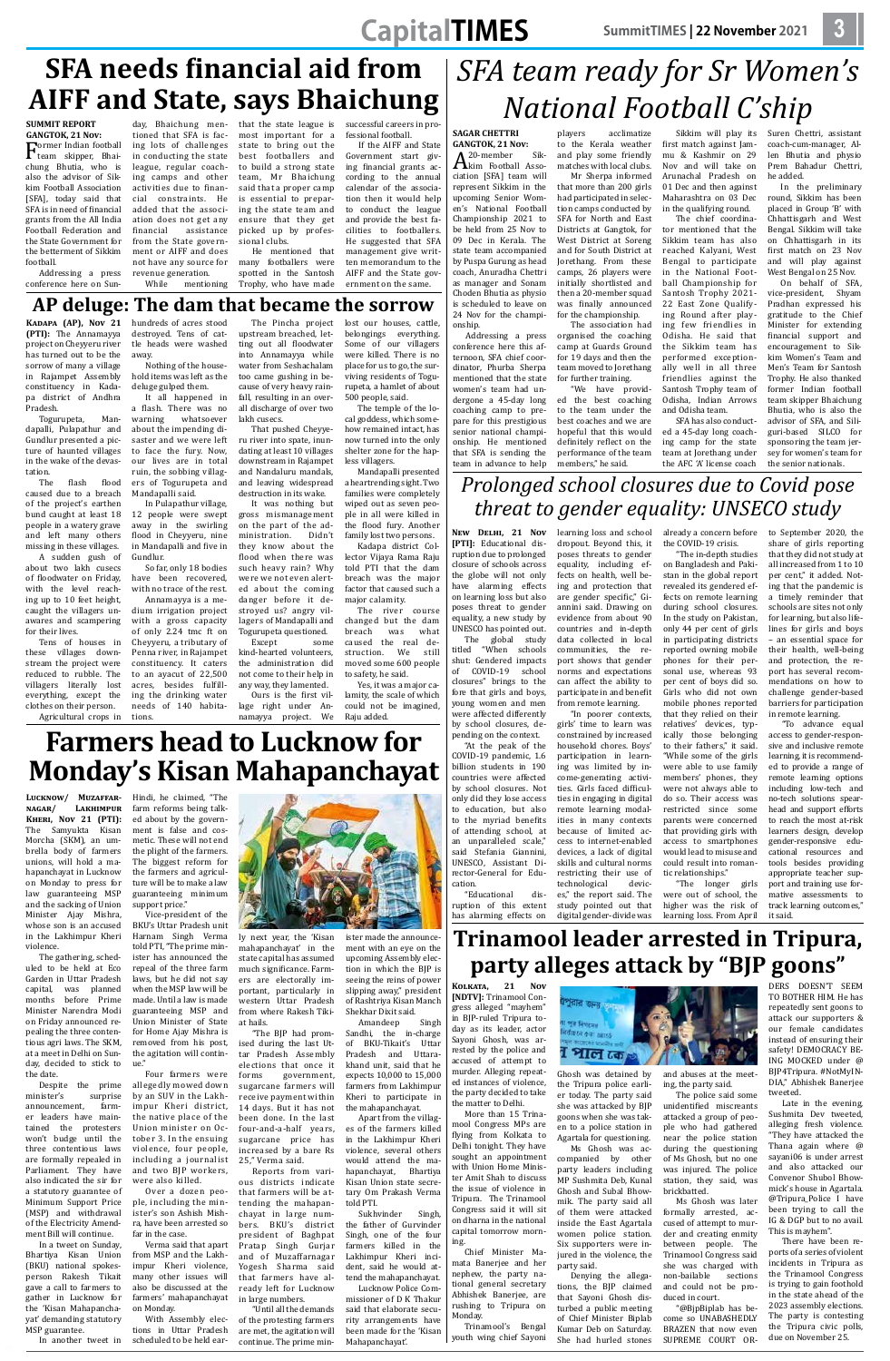# **CapitalTIMES SummitTIMES | 22 November 2021 3**

# **SFA needs financial aid from AIFF and State, says Bhaichung**

### **Summit Report GANGTOK, 21 Nov:**

**Former Indian football<br>
team skipper, Bhai-<br>
chung Bhutia, who is** chung Bhutia, who is also the advisor of Sikkim Football Association [SFA], today said that SFA is in need of financial grants from the All India Football Federation and the State Government for the betterment of Sikkim football.

day, Bhaichung mentioned that SFA is facing lots of challenges in conducting the state league, regular coaching camps and other activities due to financial constraints. He added that the association does not get any<br>financial assistance assistance from the State government or AIFF and does not have any source for revenue generation.<br>While mentio

Addressing a press conference here on Sun-

### *National Football C'ship* **SAGAR CHETTRI**

that the state league is most important for a state to bring out the best footballers and to build a strong state team, Mr Bhaichung said that a proper camp is essential to preparing the state team and ensure that they get picked up by profes-

GANGTOK, 21 Nov:<br> **A** 20-member  $A<sub>zo-memper</sub>$  Sik-<br>ciation [SFA] team will ciation [SFA] team will represent Sikkim in the upcoming Senior Women's National Football Championship 2021 to be held from 25 Nov to 09 Dec in Kerala. The state team accompanied by Puspa Gurung as head coach, Anuradha Chettri as manager and Sonam Choden Bhutia as physio is scheduled to leave on 24 Nov for the championship.

sional clubs. He mentioned that many footballers were spotted in the Santosh Trophy, who have made successful careers in professional football.

If the AIFF and State Government start giving financial grants according to the annual calendar of the association then it would help to conduct the league and provide the best facilities to footballers. He suggested that SFA management give written memorandum to the AIFF and the State government on the same.

*SFA team ready for Sr Women's* 

Addressing a press conference here this afternoon, SFA chief coordinator, Phurba Sherpa mentioned that the state women's team had undergone a 45-day long coaching camp to prepare for this prestigious senior national championship. He mentioned that SFA is sending the

players acclimatize to the Kerala weather and play some friendly matches with local clubs.

Togurupeta, Mandapalli, Pulapathur and Gundlur presented a picture of haunted villages in the wake of the devastation.<br>The

flash flood caused due to a breach of the project's earthen bund caught at least 18 people in a watery grave and left many others missing in these villages.

Mr Sherpa informed that more than 200 girls had participated in selection camps conducted by SFA for North and East Districts at Gangtok, for West District at Soreng and for South District at Jorethang. From these camps, 26 players were initially shortlisted and then a 20-member squad was finally announced for the championship.

organised the coaching camp at Guards Ground for 19 days and then the team moved to Jorethang

for further training.

"We have provided the best coaching to the team under the best coaches and we are hopeful that this would definitely reflect on the performance of the team

The association had ball Championship for Santosh Trophy 2021- 22 East Zone Qualifying Round after playing few friendlies in Odisha. He said that the Sikkim team has performed exceptionally well in all three

in the qualifying round. The chief coordinator mentioned that the Sikkim team has also reached Kalyani, West Bengal to participate in the National Foot-

stroyed us? angry villagers of Mandapalli and Togurupeta questioned. Except

Sikkim will play its first match against Jammu & Kashmir on 29 Nov and will take on Arunachal Pradesh on 01 Dec and then against Maharashtra on 03 Dec Suren Chettri, assistant coach-cum-manager, Allen Bhutia and physio Prem Bahadur Chettri, he added.

friendlies against the Santosh Trophy team of Odisha, Indian Arrows and Odisha team.

SFA has also conducted a 45-day long coaching camp for the state

In the preliminary round, Sikkim has been placed in Group 'B' with Chhattisgarh and West Bengal. Sikkim will take on Chhattisgarh in its first match on 23 Nov and will play against West Bengal on 25 Nov.

Samyukta Kisan Morcha (SKM), an umbrella body of farmers unions, will hold a mahapanchayat in Lucknow on Monday to press for law guaranteeing MSP and the sacking of Union Minister Ajay Mishra, whose son is an accused in the Lakhimpur Kheri violence.

On behalf of SFA, vice-president, Shyam Pradhan expressed his gratitude to the Chief Minister for extending financial support and encouragement to Sikkim Women's Team and Men's Team for Santosh Trophy. He also thanked former Indian football team skipper Bhaichung Bhutia, who is also the advisor of SFA, and Siliguri-based SILCO for sponsoring the team jersey for women's team for the senior nationals.

Despite the prime<br>nister's surprise minister's surprise<br>announcement, farmannouncement, er leaders have maintained the protesters won't budge until the three contentious laws are formally repealed in Parliament. They have also indicated the sir for a statutory guarantee of Minimum Support Price (MSP) and withdrawal of the Electricity Amendment Bill will continue.

## **AP deluge: The dam that became the sorrow**

**Kadapa (AP), Nov 21 (PTI):** The Annamayya project on Cheyyeru river has turned out to be the sorrow of many a village in Rajampet Assembly constituency in Kadapa district of Andhra Pradesh.

> ue." Four farmers were allegedly mowed down by an SUV in the Lakhimpur Kheri district, the native place of the Union minister on October 3. In the ensuing violence, four people, including a journalist and two BJP workers, were also killed.

A sudden gush of about two lakh cusecs of floodwater on Friday, with the level reaching up to 10 feet height, caught the villagers unawares and scampering for their lives.

Tens of houses in these villages downstream the project were reduced to rubble. The villagers literally lost everything, except the clothes on their person.

Agricultural crops in

hundreds of acres stood destroyed. Tens of cattle heads were washed away. Nothing of the house-

hold items was left as the deluge gulped them.

a flash. There was no warning whatsoever about the impending disaster and we were left to face the fury. Now, our lives are in total ruin, the sobbing villag-

ers of Togurupeta and

Mandapalli said. In Pulapathur village,

12 people were swept away in the swirling flood in Cheyyeru, nine in Mandapalli and five in

Gundlur.

So far, only 18 bodies

have been recovered, with no trace of the rest. Annamayya is a medium irrigation project

It all happened in too came gushing in because of very heavy rainfall, resulting in an over-

with a gross capacity

of only 2.24 tmc ft on Cheyyeru, a tributary of Penna river, in Rajampet constituency. It caters to an ayacut of 22,500 acres, besides fulfilling the drinking water needs of 140 habitations.

The Pincha project upstream breached, letting out all floodwater into Annamayya while water from Seshachalam

mentioning

shut: Gendered impacts<br>of COVID-19 school of COVID-19 closures" brings to the fore that girls and boys, young women and men

all discharge of over two lakh cusecs. ru river into spate, inun-

That pushed Cheyye-

attending school, at an unparalleled scale," said Stefania Giannini, UNESCO, Assistant Director-General for Education.

dating at least 10 villages downstream in Rajampet and Nandaluru mandals, and leaving widespread destruction in its wake. It was nothing but gross mismanagement

on the part of the administration. Didn't they know about the flood when there was such heavy rain? Why were we not even alerted about the coming danger before it de-

> because of limited access to internet-enabled devices, a lack of digital skills and cultural norms restricting their use of<br>technological devictechnological

kind-hearted volunteers, the administration did not come to their help in any way, they lamented. Ours is the first vil-

lage right under Annamayya project. We lost our houses, cattle,

belongings everything. Some of our villagers were killed. There is no place for us to go, the surviving residents of Togurupeta, a hamlet of about 500 people, said.

> team in advance to help members," he said. team at Jorethang under the AFC 'A' license coach *Prolonged school closures due to Covid pose threat to gender equality: UNSECO study*

The temple of the local goddess, which somehow remained intact, has now turned into the only shelter zone for the hapless villagers.

Mandapalli presented a heartrending sight. Two families were completely wiped out as seven people in all were killed in the flood fury. Another family lost two persons.

Kadapa district Collector Vijaya Rama Raju told PTI that the dam breach was the major factor that caused such a major calamity.

The river course changed but the dam<br>breach was what breach caused the real de-<br>struction. We still struction. We moved some 600 people to safety, he said.

Yes, it was a major calamity, the scale of which could not be imagined, Raju added.

**Farmers head to Lucknow for** 

**Monday's Kisan Mahapanchayat**

The gathering, scheduled to be held at Eco Garden in Uttar Pradesh capital, was planned months before Prime Minister Narendra Modi on Friday announced repealing the three contentious agri laws. The SKM, at a meet in Delhi on Sunday, decided to stick to the date.

**Lucknow/ Muzaffar-**Hindi, he claimed, "The **nagar/ Lakhimpur**  farm reforms being talk-**Kheri, Nov 21 (PTI):**  ed about by the govern-

In a tweet on Sunday, Bhartiya Kisan Union (BKU) national spokesperson Rakesh Tikait gave a call to farmers to gather in Lucknow for the 'Kisan Mahapanchayat' demanding statutory MSP guarantee.

ment is false and cosmetic. These will not end the plight of the farmers. The biggest reform for the farmers and agriculture will be to make a law guaranteeing minimum support price." Vice-president of the

BKU's Uttar Pradesh unit Harnam Singh Verma told PTI, "The prime min-

In another tweet in With Assembly elections in Uttar Pradesh scheduled to be held ear-



ister has announced the repeal of the three farm laws, but he did not say when the MSP law will be made. Until a law is made guaranteeing MSP and Union Minister of State for Home Ajay Mishra is removed from his post, the agitation will continat hails. ised during the last Uttar Pradesh Assembly

Over a dozen people, including the minister's son Ashish Mishra, have been arrested so far in the case.

Verma said that apart from MSP and the Lakhimpur Kheri violence, many other issues will also be discussed at the farmers' mahapanchayat on Monday.

"The BJP had prom-

government,

elections that once it<br>forms government.

sugarcane farmers will receive payment within 14 days. But it has not been done. In the last four-and-a-half years, sugarcane price has increased by a bare Rs 25," Verma said.

ly next year, the 'Kisan mahapanchayat' in the state capital has assumed much significance. Farmers are electorally important, particularly in western Uttar Pradesh from where Rakesh Tikiister made the announcement with an eye on the upcoming Assembly election in which the BJP is seeing the reins of power slipping away," president of Rashtriya Kisan Manch Shekhar Dixit said.

Reports from various districts indicate that farmers will be attending the mahapanchayat in large numbers. BKU's district president of Baghpat Pratap Singh Gurjar and of Muzaffarnagar Yogesh Sharma said that farmers have al-

in large numbers.

Amandeep Singh Sandhi, the in-charge of BKU-Tikait's Uttar Pradesh and Uttarakhand unit, said that he expects 10,000 to 15,000 farmers from Lakhimpur Kheri to participate in the mahapanchayat.

ready left for Lucknow "Until all the demands of the protesting farmers are met, the agitation will continue. The prime minmissioner of D K Thakur said that elaborate security arrangements have been made for the 'Kisan Mahapanchayat'.

Apart from the villages of the farmers killed in the Lakhimpur Kheri violence, several others would attend the mahapanchayat, Bhartiya Kisan Union state secretary Om Prakash Verma told PTI.

Sukhvinder Singh, the father of Gurvinder Singh, one of the four farmers killed in the Lakhimpur Kheri incident, said he would attend the mahapanchayat. Lucknow Police Com**New Delhi, 21 Nov** 

were affected differently by school closures, depending on the context.

"At the peak of the COVID-19 pandemic, 1.6 billion students in 190

#### **[PTI]:** Educational dislearning loss and school already a concern before dropout. Beyond this, it poses threats to gender equality, including effects on health, well being and protection that are gender specific," Giannini said. Drawing on evidence from about 90

ruption due to prolonged closure of schools across the globe will not only have alarming effects on learning loss but also poses threat to gender equality, a new study by UNESCO has pointed out. The global study titled "When schools countries and in-depth data collected in local communities, the re-

countries were affected by school closures. Not only did they lose access to education, but also to the myriad benefits

"Educational disruption of this extent has alarming effects on

port shows that gender norms and expectations can affect the ability to participate in and benefit from remote learning.

come-generating activities. Girls faced difficulties in engaging in digital remote learning modalities in many contexts

> es," the report said. The study pointed out that digital gender-divide was

the COVID-19 crisis. "The in-depth studies on Bangladesh and Paki-

"In poorer contexts, girls' time to learn was constrained by increased household chores. Boys' participation in learning was limited by instan in the global report revealed its gendered effects on remote learning during school closures. In the study on Pakistan, only 44 per cent of girls in participating districts reported owning mobile phones for their personal use, whereas 93 per cent of boys did so. Girls who did not own mobile phones reported that they relied on their relatives' devices, typically those belonging to their fathers," it said. "While some of the girls were able to use family members' phones, they were not always able to do so. Their access was restricted since some

parents were concerned

that providing girls with access to smartphones would lead to misuse and could result into romantic relationships."

"The longer girls were out of school, the higher was the risk of learning loss. From April

to September 2020, the share of girls reporting that they did not study at all increased from 1 to 10 per cent," it added. Noting that the pandemic is a timely reminder that schools are sites not only for learning, but also lifelines for girls and boys – an essential space for their health, well-being and protection, the report has several recommendations on how to challenge gender-based barriers for participation in remote learning.

"To advance equal access to gender-responsive and inclusive remote learning, it is recommended to provide a range of remote learning options including low-tech and no-tech solutions spearhead and support efforts to reach the most at-risk learners design, develop gender-responsive educational resources and tools besides providing appropriate teacher support and training use formative assessments to track learning outcomes," it said.

### **Trinamool leader arrested in Tripura, party alleges attack by "BJP goons"**

**Kolkata, 21 Nov [NDTV]:** Trinamool Congress alleged "mayhem" in BJP-ruled Tripura today as its leader, actor Sayoni Ghosh, was arrested by the police and accused of attempt to murder. Alleging repeated instances of violence, the party decided to take

More than 15 Trinamool Congress MPs are flying from Kolkata to Delhi tonight. They have sought an appointment with Union Home Minister Amit Shah to discuss the issue of violence in Tripura. The Trinamool Congress said it will sit on dharna in the national capital tomorrow morning.

the matter to Delhi. Ghosh was detained by the Tripura police earlier today. The party said she was attacked by BJP goons when she was taken to a police station in Agartala for questioning.

Trinamool's Bengal youth wing chief Sayoni



Chief Minister Mamata Banerjee and her nephew, the party national general secretary Abhishek Banerjee, are rushing to Tripura on Monday. party said. turbed a public meeting of Chief Minister Biplab

Ms Ghosh was accompanied by other party leaders including MP Sushmita Deb, Kunal Ghosh and Subal Bhowand abuses at the meeting, the party said. The police said some unidentified miscreants attacked a group of people who had gathered near the police station during the questioning of Ms Ghosh, but no one was injured. The police station, they said, was brickbatted.

Kumar Deb on Saturday. She had hurled stones

mik. The party said all of them were attacked inside the East Agartala women police station. Six supporters were injured in the violence, the Denying the allegations, the BJP claimed that Sayoni Ghosh dis-Ms Ghosh was later formally arrested, accused of attempt to murder and creating enmity between people. The Trinamool Congress said she was charged with non-bailable sections and could not be produced in court.

"@BjpBiplab has become so UNABASHEDLY BRAZEN that now even SUPREME COURT OR-

DERS DOESN'T SEEM TO BOTHER HIM. He has repeatedly sent goons to attack our supporters & our female candidates instead of ensuring their safety! DEMOCRACY BE-ING MOCKED under @ BJP4Tripura. #NotMyIN-DIA," Abhishek Banerjee tweeted.

Late in the evening, Sushmita Dev tweeted, alleging fresh violence. "They have attacked the Thana again where @ sayani06 is under arrest and also attacked our Convenor Shubol Bhowmick's house in Agartala. @Tripura\_Police I have been trying to call the IG & DGP but to no avail. This is mayhem".

There have been reports of a series of violent incidents in Tripura as the Trinamool Congress is trying to gain foothold in the state ahead of the 2023 assembly elections. The party is contesting the Tripura civic polls, due on November 25.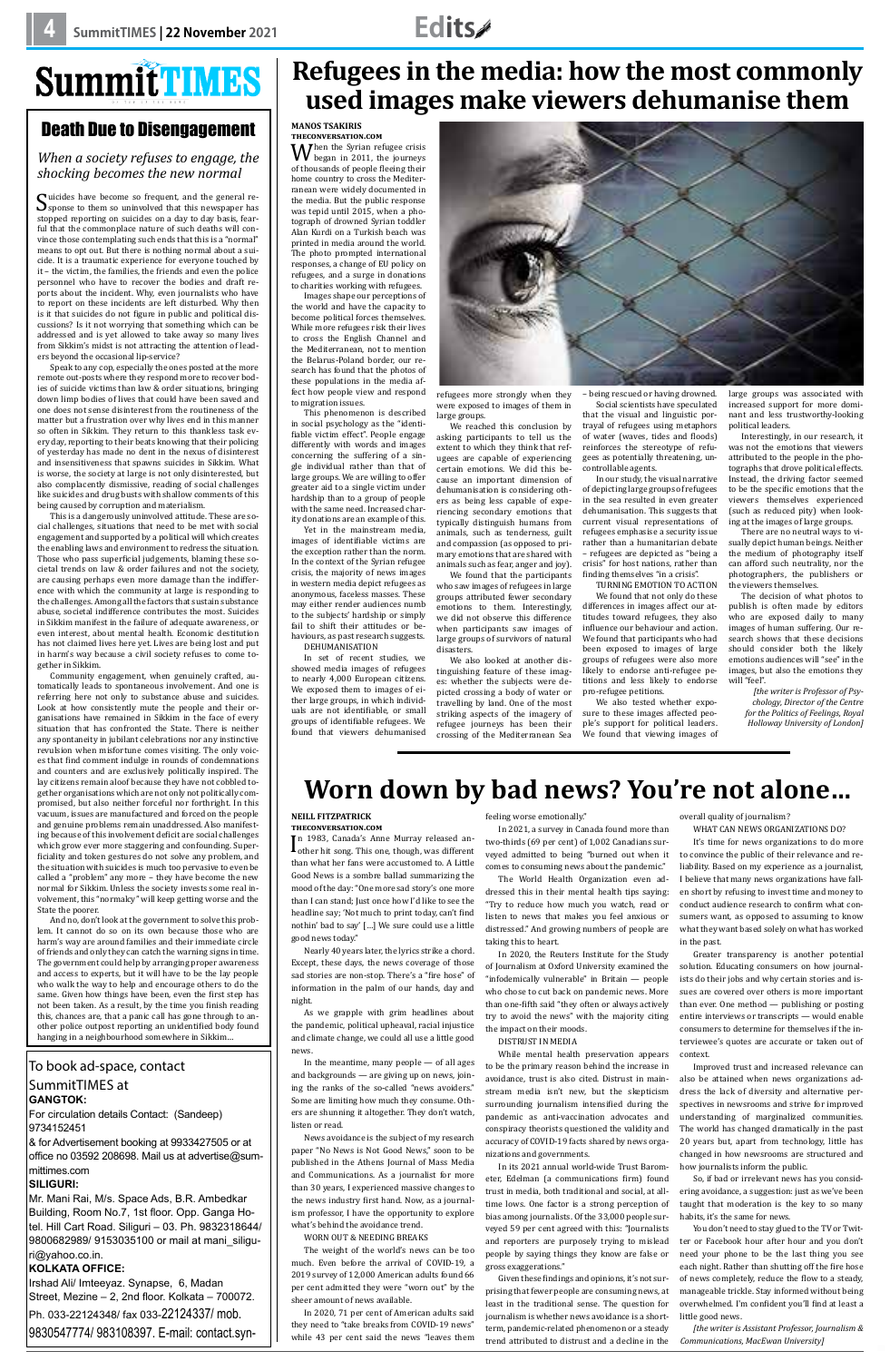### To book ad-space, contact SummitTimes at GANGTOK:



For circulation details Contact: (Sandeep) 9734152451

& for Advertisement booking at 9933427505 or at office no 03592 208698. Mail us at advertise@summittimes.com

### **Siliguri:**

Mr. Mani Rai, M/s. Space Ads, B.R. Ambedkar Building, Room No.7, 1st floor. Opp. Ganga Hotel. Hill Cart Road. Siliguri – 03. Ph. 9832318644/ 9800682989/ 9153035100 or mail at mani\_siliguri@yahoo.co.in.

### **Kolkata office:**

Irshad Ali/ Imteeyaz. Synapse, 6, Madan Street, Mezine – 2, 2nd floor. Kolkata – 700072.

Ph. 033-22124348/ fax 033-22124337/ mob. 9830547774/ 983108397. E-mail: contact.syn-

# **Edits**

### Death Due to Disengagement

*When a society refuses to engage, the shocking becomes the new normal*

Suicides have become so frequent, and the general response to them so uninvolved that this newspaper has stopped reporting on suicides on a day to day basis, fearstopped reporting on suicides on a day to day basis, fearful that the commonplace nature of such deaths will convince those contemplating such ends that this is a "normal" means to opt out. But there is nothing normal about a suicide. It is a traumatic experience for everyone touched by it – the victim, the families, the friends and even the police personnel who have to recover the bodies and draft reports about the incident. Why, even journalists who have to report on these incidents are left disturbed. Why then is it that suicides do not figure in public and political discussions? Is it not worrying that something which can be addressed and is yet allowed to take away so many lives from Sikkim's midst is not attracting the attention of leaders beyond the occasional lip-service?

Speak to any cop, especially the ones posted at the more remote out-posts where they respond more to recover bodies of suicide victims than law & order situations, bringing down limp bodies of lives that could have been saved and one does not sense disinterest from the routineness of the matter but a frustration over why lives end in this manner so often in Sikkim. They return to this thankless task every day, reporting to their beats knowing that their policing of yesterday has made no dent in the nexus of disinterest and insensitiveness that spawns suicides in Sikkim. What is worse, the society at large is not only disinterested, but also complacently dismissive, reading of social challenges like suicides and drug busts with shallow comments of this being caused by corruption and materialism.

This is a dangerously uninvolved attitude. These are social challenges, situations that need to be met with social engagement and supported by a political will which creates the enabling laws and environment to redress the situation. Those who pass superficial judgements, blaming these societal trends on law & order failures and not the society, are causing perhaps even more damage than the indifference with which the community at large is responding to the challenges. Among all the factors that sustain substance abuse, societal indifference contributes the most. Suicides in Sikkim manifest in the failure of adequate awareness, or even interest, about mental health. Economic destitution has not claimed lives here yet. Lives are being lost and put in harm's way because a civil society refuses to come together in Sikkim.

**W** hegan in 2011, the journeys<br>of thousands of people fleeing their of thousands of people fleeing their home country to cross the Mediterranean were widely documented in the media. But the public response was tepid until 2015, when a photograph of drowned Syrian toddler Alan Kurdi on a Turkish beach was printed in media around the world. The photo prompted international responses, a change of EU policy on refugees, and a surge in donations to charities working with refugees.

Community engagement, when genuinely crafted, automatically leads to spontaneous involvement. And one is referring here not only to substance abuse and suicides. Look at how consistently mute the people and their organisations have remained in Sikkim in the face of every situation that has confronted the State. There is neither any spontaneity in jubilant celebrations nor any instinctive revulsion when misfortune comes visiting. The only voices that find comment indulge in rounds of condemnations and counters and are exclusively politically inspired. The lay citizens remain aloof because they have not cobbled together organisations which are not only not politically compromised, but also neither forceful nor forthright. In this vacuum, issues are manufactured and forced on the people and genuine problems remain unaddressed. Also manifesting because of this involvement deficit are social challenges which grow ever more staggering and confounding. Superficiality and token gestures do not solve any problem, and the situation with suicides is much too pervasive to even be called a "problem" any more – they have become the new normal for Sikkim. Unless the society invests some real involvement, this "normalcy" will keep getting worse and the State the poorer. And no, don't look at the government to solve this problem. It cannot do so on its own because those who are harm's way are around families and their immediate circle of friends and only they can catch the warning signs in time. The government could help by arranging proper awareness and access to experts, but it will have to be the lay people who walk the way to help and encourage others to do the same. Given how things have been, even the first step has not been taken. As a result, by the time you finish reading this, chances are, that a panic call has gone through to another police outpost reporting an unidentified body found hanging in a neighbourhood somewhere in Sikkim…

# **Refugees in the media: how the most commonly used images make viewers dehumanise them**

### **Manos Tsakiris theconversation.com**

Images shape our perceptions of the world and have the capacity to become political forces themselves. While more refugees risk their lives to cross the English Channel and the Mediterranean, not to mention the Belarus-Poland border, our research has found that the photos of these populations in the media affect how people view and respond to migration issues.

This phenomenon is described in social psychology as the "identifiable victim effect". People engage differently with words and images concerning the suffering of a single individual rather than that of large groups. We are willing to offer greater aid to a single victim under hardship than to a group of people with the same need. Increased charity donations are an example of this.

Yet in the mainstream media, images of identifiable victims are the exception rather than the norm. In the context of the Syrian refugee crisis, the majority of news images in western media depict refugees as anonymous, faceless masses. These may either render audiences numb to the subjects' hardship or simply fail to shift their attitudes or behaviours, as past research suggests. DEHUMANISATION

In set of recent studies, we showed media images of refugees to nearly 4,000 European citizens. We exposed them to images of either large groups, in which individuals are not identifiable, or small groups of identifiable refugees. We found that viewers dehumanised



refugees more strongly when they were exposed to images of them in large groups.

We reached this conclusion by asking participants to tell us the extent to which they think that refugees are capable of experiencing certain emotions. We did this because an important dimension of dehumanisation is considering others as being less capable of experiencing secondary emotions that typically distinguish humans from animals, such as tenderness, guilt and compassion (as opposed to primary emotions that are shared with animals such as fear, anger and joy).

We found that the participants who saw images of refugees in large groups attributed fewer secondary emotions to them. Interestingly, we did not observe this difference when participants saw images of large groups of survivors of natural disasters.

We also looked at another distinguishing feature of these images: whether the subjects were depicted crossing a body of water or travelling by land. One of the most striking aspects of the imagery of refugee journeys has been their crossing of the Mediterranean Sea

– being rescued or having drowned. Social scientists have speculated

that the visual and linguistic portrayal of refugees using metaphors of water (waves, tides and floods) reinforces the stereotype of refugees as potentially threatening, uncontrollable agents.

In our study, the visual narrative of depicting large groups of refugees in the sea resulted in even greater dehumanisation. This suggests that current visual representations of refugees emphasise a security issue rather than a humanitarian debate – refugees are depicted as "being a crisis" for host nations, rather than finding themselves "in a crisis".

TURNING EMOTION TO ACTION We found that not only do these differences in images affect our attitudes toward refugees, they also influence our behaviour and action. We found that participants who had been exposed to images of large groups of refugees were also more likely to endorse anti-refugee petitions and less likely to endorse pro-refugee petitions.

We also tested whether exposure to these images affected people's support for political leaders. We found that viewing images of large groups was associated with increased support for more dominant and less trustworthy-looking political leaders.

Interestingly, in our research, it was not the emotions that viewers attributed to the people in the photographs that drove political effects. Instead, the driving factor seemed to be the specific emotions that the viewers themselves experienced (such as reduced pity) when looking at the images of large groups.

There are no neutral ways to visually depict human beings. Neither the medium of photography itself can afford such neutrality, nor the photographers, the publishers or the viewers themselves.

The decision of what photos to publish is often made by editors who are exposed daily to many images of human suffering. Our research shows that these decisions should consider both the likely emotions audiences will "see" in the images, but also the emotions they will "feel".

*[the writer is Professor of Psychology, Director of the Centre for the Politics of Feelings, Royal Holloway University of London]*

# **Worn down by bad news? You're not alone…**

**Neill Fitzpatrick theconversation.com** In 1965, Canada's Anne Murray Teleased an-<br>other hit song. This one, though, was different<br>than what has fans were assurtaned to A Little n 1983, Canada's Anne Murray released anthan what her fans were accustomed to. A Little Good News is a sombre ballad summarizing the mood of the day: "One more sad story's one more than I can stand; Just once how I'd like to see the headline say; 'Not much to print today, can't find nothin' bad to say' […] We sure could use a little good news today."

Nearly 40 years later, the lyrics strike a chord. Except, these days, the news coverage of those sad stories are non-stop. There's a "fire hose" of information in the palm of our hands, day and night.

As we grapple with grim headlines about the pandemic, political upheaval, racial injustice and climate change, we could all use a little good news.

In the meantime, many people — of all ages and backgrounds — are giving up on news, joining the ranks of the so-called "news avoiders." Some are limiting how much they consume. Others are shunning it altogether. They don't watch, listen or read.

News avoidance is the subject of my research paper "No News is Not Good News," soon to be published in the Athens Journal of Mass Media and Communications. As a journalist for more than 30 years, I experienced massive changes to the news industry first hand. Now, as a journalism professor, I have the opportunity to explore what's behind the avoidance trend.

WORN OUT & NEEDING BREAKS

The weight of the world's news can be too much. Even before the arrival of COVID-19, a 2019 survey of 12,000 American adults found 66 per cent admitted they were "worn out" by the sheer amount of news available.

In 2020, 71 per cent of American adults said they need to "take breaks from COVID-19 news" while 43 per cent said the news "leaves them

feeling worse emotionally." In 2021, a survey in Canada found more than

two-thirds (69 per cent) of 1,002 Canadians surveyed admitted to being "burned out when it comes to consuming news about the pandemic."

The World Health Organization even addressed this in their mental health tips saying: "Try to reduce how much you watch, read or listen to news that makes you feel anxious or distressed." And growing numbers of people are taking this to heart.

In 2020, the Reuters Institute for the Study of Journalism at Oxford University examined the "infodemically vulnerable" in Britain — people who chose to cut back on pandemic news. More than one-fifth said "they often or always actively try to avoid the news" with the majority citing the impact on their moods.

### DISTRUST IN MEDIA

While mental health preservation appears to be the primary reason behind the increase in avoidance, trust is also cited. Distrust in mainstream media isn't new, but the skepticism surrounding journalism intensified during the pandemic as anti-vaccination advocates and conspiracy theorists questioned the validity and accuracy of COVID-19 facts shared by news organizations and governments.

In its 2021 annual world-wide Trust Barometer, Edelman (a communications firm) found trust in media, both traditional and social, at alltime lows. One factor is a strong perception of bias among journalists. Of the 33,000 people surveyed 59 per cent agreed with this: "Journalists and reporters are purposely trying to mislead people by saying things they know are false or gross exaggerations."

Given these findings and opinions, it's not surprising that fewer people are consuming news, at least in the traditional sense. The question for journalism is whether news avoidance is a shortterm, pandemic-related phenomenon or a steady trend attributed to distrust and a decline in the

overall quality of journalism? WHAT CAN NEWS ORGANIZATIONS DO?

It's time for news organizations to do more to convince the public of their relevance and reliability. Based on my experience as a journalist, I believe that many news organizations have fallen short by refusing to invest time and money to conduct audience research to confirm what consumers want, as opposed to assuming to know what they want based solely on what has worked in the past.

Greater transparency is another potential solution. Educating consumers on how journalists do their jobs and why certain stories and issues are covered over others is more important than ever. One method — publishing or posting entire interviews or transcripts — would enable consumers to determine for themselves if the interviewee's quotes are accurate or taken out of context.

Improved trust and increased relevance can also be attained when news organizations address the lack of diversity and alternative perspectives in newsrooms and strive for improved understanding of marginalized communities. The world has changed dramatically in the past 20 years but, apart from technology, little has changed in how newsrooms are structured and how journalists inform the public.

So, if bad or irrelevant news has you considering avoidance, a suggestion: just as we've been taught that moderation is the key to so many habits, it's the same for news.

You don't need to stay glued to the TV or Twitter or Facebook hour after hour and you don't need your phone to be the last thing you see each night. Rather than shutting off the fire hose of news completely, reduce the flow to a steady, manageable trickle. Stay informed without being overwhelmed. I'm confident you'll find at least a little good news.

*[the writer is Assistant Professor, Journalism & Communications, MacEwan University]*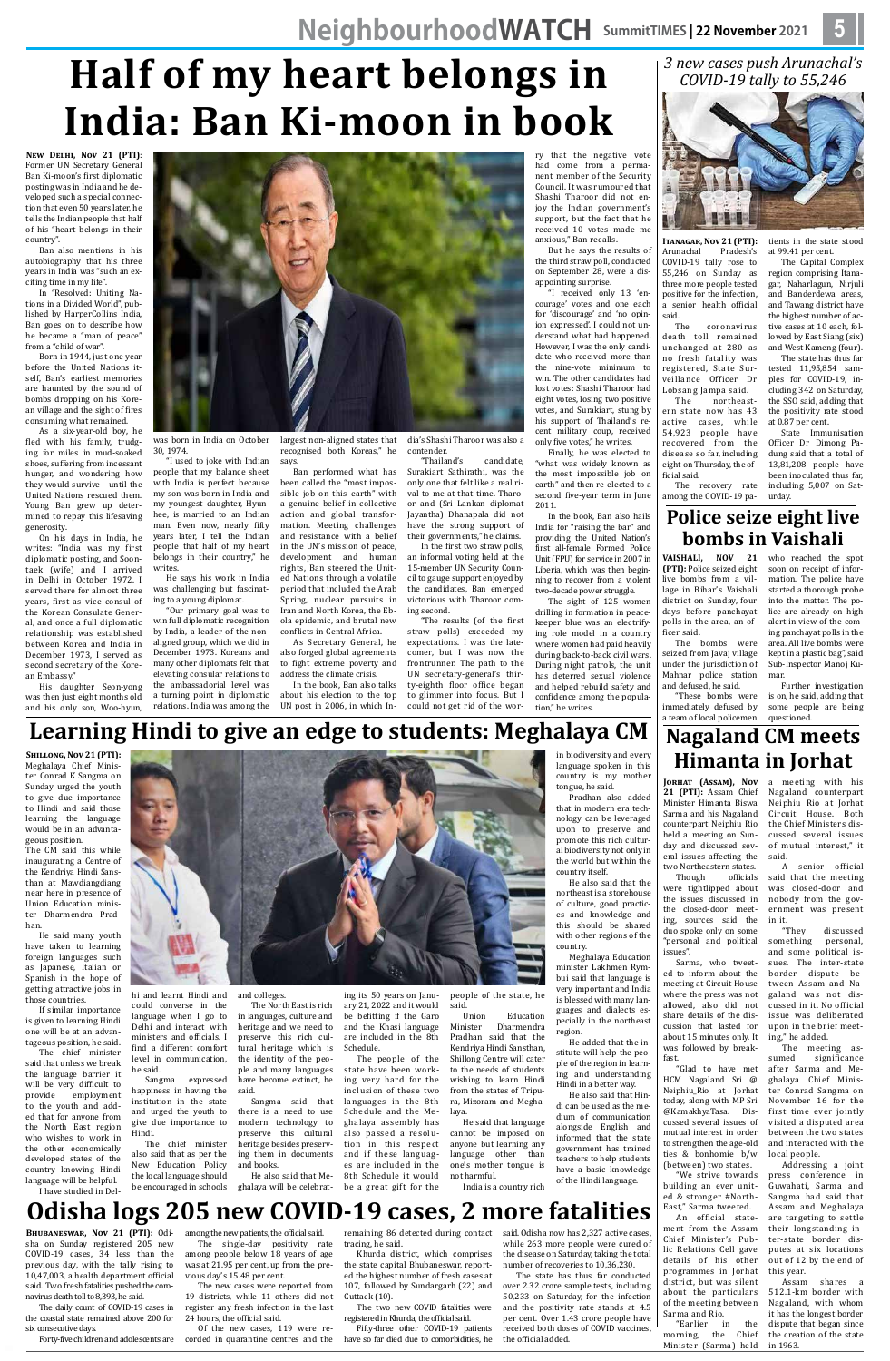# **Half of my heart belongs in India: Ban Ki-moon in book**

**New Delhi, Nov 21 (PTI)**: Former UN Secretary General Ban Ki-moon's first diplomatic posting was in India and he developed such a special connection that even 50 years later, he tells the Indian people that half of his "heart belongs in their country".

Ban also mentions in his autobiography that his three years in India was "such an exciting time in my life".

In "Resolved: Uniting Nations in a Divided World", published by HarperCollins India, Ban goes on to describe how he became a "man of peace" from a "child of war".

Born in 1944, just one year before the United Nations itself, Ban's earliest memories are haunted by the sound of bombs dropping on his Korean village and the sight of fires consuming what remained.

As a six-year-old boy, he fled with his family, trudging for miles in mud-soaked shoes, suffering from incessant hunger, and wondering how they would survive - until the United Nations rescued them. Young Ban grew up determined to repay this lifesaving generosity.

On his days in India, he writes: "India was my first diplomatic posting, and Soontaek (wife) and I arrived in Delhi in October 1972. I served there for almost three years, first as vice consul of the Korean Consulate General, and once a full diplomatic relationship was established between Korea and India in December 1973, I served as second secretary of the Korean Embassy."

dia's Shashi Tharoor was also a contender.<br>"Thailand's

His daughter Seon-yong was then just eight months old and his only son, Woo-hyun,



was born in India on October 30, 1974.

"I used to joke with Indian people that my balance sheet with India is perfect because my son was born in India and my youngest daughter, Hyunhee, is married to an Indian man. Even now, nearly fifty years later, I tell the Indian people that half of my heart belongs in their country," he writes.

He says his work in India was challenging but fascinating to a young diplomat.

"Our primary goal was to win full diplomatic recognition by India, a leader of the nonaligned group, which we did in December 1973. Koreans and many other diplomats felt that elevating consular relations to the ambassadorial level was a turning point in diplomatic relations. India was among the

largest non-aligned states that recognised both Koreas," he says.

Ban performed what has been called the "most impossible job on this earth" with a genuine belief in collective action and global transformation. Meeting challenges and resistance with a belief in the UN's mission of peace, development and human rights, Ban steered the United Nations through a volatile period that included the Arab Spring, nuclear pursuits in Iran and North Korea, the Ebola epidemic, and brutal new conflicts in Central Africa.

As Secretary General, he also forged global agreements to fight extreme poverty and address the climate crisis.

In the book, Ban also talks about his election to the top UN post in 2006, in which In-

"Thailand's candidate, Surakiart Sathirathi, was the only one that felt like a real rival to me at that time. Tharoor and (Sri Lankan diplomat Jayantha) Dhanapala did not have the strong support of their governments," he claims.

In the first two straw polls, an informal voting held at the 15-member UN Security Council to gauge support enjoyed by the candidates, Ban emerged victorious with Tharoor coming second.

"The results (of the first straw polls) exceeded my expectations. I was the latecomer, but I was now the frontrunner. The path to the UN secretary-general's thirty-eighth floor office began to glimmer into focus. But I could not get rid of the wor-

> people of the state, he said.<br>Union

ry that the negative vote had come from a permanent member of the Security Council. It was rumoured that Shashi Tharoor did not enjoy the Indian government's support, but the fact that he received 10 votes made me anxious," Ban recalls.

Union Education<br>Minister Dharmendra Dharmendra Pradhan said that the Kendriya Hindi Sansthan, Shillong Centre will cater to the needs of students wishing to learn Hindi from the states of Tripura, Mizoram and Meghalaya.

But he says the results of the third straw poll, conducted on September 28, were a disappointing surprise.

"I received only 13 'encourage' votes and one each for 'discourage' and 'no opinion expressed'. I could not understand what had happened. However, I was the only candidate who received more than the nine-vote minimum to win. The other candidates had lost votes: Shashi Tharoor had eight votes, losing two positive votes, and Surakiart, stung by his support of Thailand's recent military coup, received only five votes," he writes.

said.<br>The coronavirus death toll remained unchanged at 280 as no fresh fatality was registered, State Surveillance Officer Dr

Finally, he was elected to "what was widely known as the most impossible job on earth" and then re-elected to a second five-year term in June 2011.

In the book, Ban also hails India for "raising the bar" and providing the United Nation's first all-female Formed Police Unit (FPU) for service in 2007 in Liberia, which was then beginning to recover from a violent two-decade power struggle.

The sight of 125 women drilling in formation in peacekeeper blue was an electrifying role model in a country where women had paid heavily during back-to-back civil wars. During night patrols, the unit has deterred sexual violence and helped rebuild safety and confidence among the population," he writes.

# **Learning Hindi to give an edge to students: Meghalaya CM**

**Shillong, Nov 21 (PTI):**  Meghalaya Chief Minister Conrad K Sangma on Sunday urged the youth to give due importance to Hindi and said those learning the language would be in an advanta-





geous position.

The CM said this while inaugurating a Centre of the Kendriya Hindi Sansthan at Mawdiangdiang near here in presence of Union Education minister Dharmendra Pradhan.

He said many youth have taken to learning foreign languages such as Japanese, Italian or Spanish in the hope of getting attractive jobs in those countries.

If similar importance is given to learning Hindi one will be at an advantageous position, he said.

The chief minister said that unless we break the language barrier it will be very difficult to provide employment to the youth and added that for anyone from the North East region who wishes to work in the other economically developed states of the country knowing Hindi language will be helpful. I have studied in Del-

The meeting as-<br>sumed significance significance after Sarma and Meghalaya Chief Minister Conrad Sangma on November 16 for the first time ever jointly visited a disputed area between the two states and interacted with the local people.

hi and learnt Hindi and and colleges.

he said. expressed happiness in having the institution in the state and urged the youth to give due importance to Hindi.

could converse in the language when I go to Delhi and interact with ministers and officials. I find a different comfort level in communication, The North East is rich in languages, culture and heritage and we need to preserve this rich cultural heritage which is the identity of the people and many languages

The chief minister also said that as per the New Education Policy the local language should be encouraged in schools have become extinct, he

said.

modern technology to preserve this cultural heritage besides preserv-

and books.

ing its 50 years on January 21, 2022 and it would be befitting if the Garo and the Khasi language are included in the 8th Schedule.

Sangma said that there is a need to use ing them in documents He also said that Meghalaya will be celebrat-The people of the state have been working very hard for the inclusion of these two languages in the 8th Schedule and the Meghalaya assembly has also passed a resolution in this respect and if these languages are included in the 8th Schedule it would be a great gift for the

He said that language cannot be imposed on anyone but learning any language other than one's mother tongue is not harmful. India is a country rich

in biodiversity and every language spoken in this country is my mother tongue, he said.

Pradhan also added that in modern era technology can be leveraged upon to preserve and

promote this rich cultural biodiversity not only in the world but within the country itself.

He also said that the northeast is a storehouse of culture, good practices and knowledge and this should be shared with other regions of the country.

Meghalaya Education minister Lakhmen Rymbui said that language is very important and India is blessed with many languages and dialects especially in the northeast region.

He added that the institute will help the people of the region in learning and understanding Hindi in a better way.

He also said that Hindi can be used as the medium of communication alongside English and informed that the state government has trained teachers to help students have a basic knowledge of the Hindi language.

*3 new cases push Arunachal's COVID-19 tally to 55,246*



**Itanagar, Nov 21 (PTI):** Arunachal Pradesh's COVID-19 tally rose to 55,246 on Sunday as three more people tested positive for the infection, a senior health official

Lobsang Jampa said. northeastern state now has 43 active cases, while 54,923 people have recovered from the disease so far, including eight on Thursday, the official said.

The recovery rate among the COVID-19 patients in the state stood at 99.41 per cent.

The Capital Complex region comprising Itanagar, Naharlagun, Nirjuli and Banderdewa areas, and Tawang district have the highest number of active cases at 10 each, followed by East Siang (six) and West Kameng (four). The state has thus far tested 11,95,854 samples for COVID-19, including 342 on Saturday, the SSO said, adding that the positivity rate stood

at 0.87 per cent. State Immunisation Officer Dr Dimong Padung said that a total of

13,81,208 people have been inoculated thus far, including 5,007 on Saturday.

### **Police seize eight live bombs in Vaishali**

**(PTI):** Police seized eight live bombs from a village in Bihar's Vaishali district on Sunday, four days before panchayat polls in the area, an officer said.

**Vaishali, Nov 21**  who reached the spot soon on receipt of infor-

The bombs were seized from Javaj village under the jurisdiction of Mahnar police station and defused, he said.

two Northeastern states.<br>Though officials

mation. The police have started a thorough probe into the matter. The police are already on high alert in view of the coming panchayat polls in the

"These bombs were immediately defused by a team of local policemen Further investigation is on, he said, adding that some people are being questioned.

area. All live bombs were kept in a plastic bag", said Sub-Inspector Manoj Ku-

mar.

**Nagaland CM meets** 

**Himanta in Jorhat**

were tightlipped about the issues discussed in the closed-door meeting, sources said the duo spoke only on some "personal and political

issues".

Sarma, who tweeted to inform about the meeting at Circuit House where the press was not allowed, also did not share details of the discussion that lasted for about 15 minutes only. It was followed by break-

fast.

officials

**Jorhat (Assam), Nov**  a meeting with his **21 (PTI):** Assam Chief Nagaland counterpart Minister Himanta Biswa Neiphiu Rio at Jorhat Sarma and his Nagaland Circuit House. Both counterpart Neiphiu Rio the Chief Ministers dis-

"Glad to have met HCM Nagaland Sri @ Neiphiu\_Rio at Jorhat today, along with MP Sri @KamakhyaTasa. Discussed several issues of mutual interest in order to strengthen the age-old ties & bonhomie b/w

held a meeting on Sunday and discussed several issues affecting the cussed several issues of mutual interest," it said.

(between) two states. "We strive towards building an ever unit-

An official statelic Relations Cell gave details of his other

"Earlier in the morning, the Chief Minister (Sarma) held

A senior official said that the meeting was closed-door and nobody from the government was present

in it. discussed something personal, and some political issues. The inter-state border dispute between Assam and Nagaland was not discussed in it. No official issue was deliberated upon in the brief meeting," he added.

Addressing a joint press conference in Guwahati, Sarma and Sangma had said that Assam and Meghalaya are targeting to settle their longstanding inter-state border disputes at six locations out of 12 by the end of

this year. Assam shares a 512.1-km border with Nagaland, with whom it has the longest border

ed & stronger #North-East," Sarma tweeted. ment from the Assam Chief Minister's Pubremaining 86 detected during contact said. Odisha now has 2,327 active cases,

> dispute that began since the creation of the state in 1963.

# **Odisha logs 205 new COVID-19 cases, 2 more fatalities**

programmes in Jorhat district, but was silent about the particulars of the meeting between Sarma and Rio. The state has thus far conducted over 2.32 crore sample tests, including 50,233 on Saturday, for the infection and the positivity rate stands at 4.5 per cent. Over 1.43 crore people have received both doses of COVID vaccines,

**Bhubaneswar, Nov 21 (PTI):** Odisha on Sunday registered 205 new COVID-19 cases, 34 less than the previous day, with the tally rising to 10,47,003, a health department official said. Two fresh fatalities pushed the coronavirus death toll to 8,393, he said.

The daily count of COVID-19 cases in the coastal state remained above 200 for six consecutive days.

Forty-five children and adolescents are

among the new patients, the official said. The single-day positivity rate among people below 18 years of age was at 21.95 per cent, up from the previous day's 15.48 per cent.

The new cases were reported from 19 districts, while 11 others did not register any fresh infection in the last 24 hours, the official said.

Of the new cases, 119 were recorded in quarantine centres and the tracing, he said.

Khurda district, which comprises the state capital Bhubaneswar, reported the highest number of fresh cases at 107, followed by Sundargarh (22) and Cuttack (10).

The two new COVID fatalities were registered in Khurda, the official said.

Fifty-three other COVID-19 patients have so far died due to comorbidities, he

while 263 more people were cured of the disease on Saturday, taking the total number of recoveries to 10,36,230.

the official added.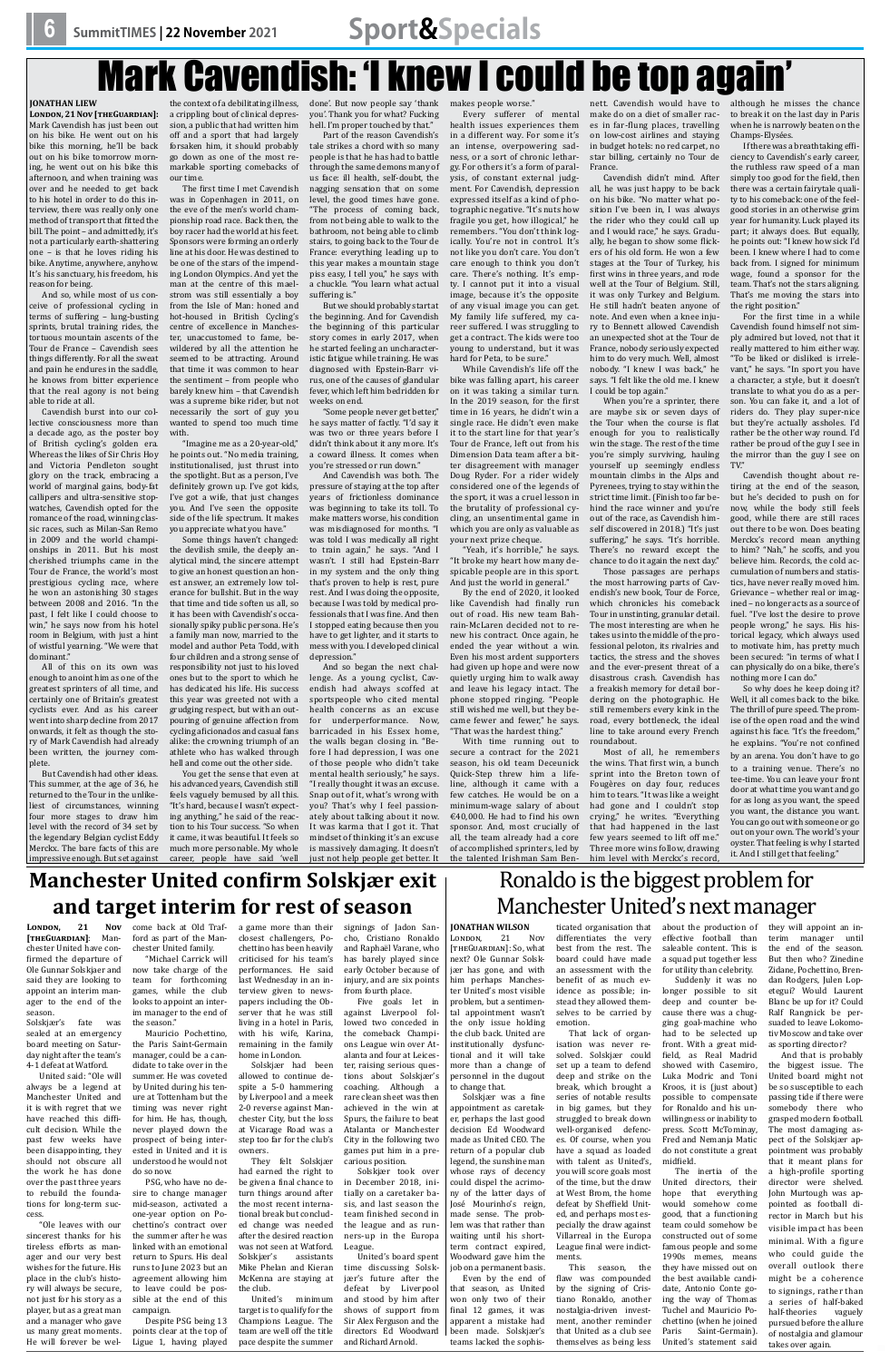# Mark Cavendish: 'I knew I could be top again'

### **Jonathan Liew**

LONDON, 21 NOV [THEGUARDIAN]: Mark Cavendish has just been out on his bike. He went out on his bike this morning, he'll be back out on his bike tomorrow morning, he went out on his bike this afternoon, and when training was over and he needed to get back to his hotel in order to do this interview, there was really only one method of transport that fitted the bill. The point – and admittedly, it's not a particularly earth-shattering one – is that he loves riding his bike. Anytime, anywhere, anyhow. It's his sanctuary, his freedom, his reason for being.

And so, while most of us conceive of professional cycling in terms of suffering – lung-busting sprints, brutal training rides, the tortuous mountain ascents of the Tour de France – Cavendish sees things differently. For all the sweat and pain he endures in the saddle, he knows from bitter experience that the real agony is not being able to ride at all.

Cavendish burst into our collective consciousness more than a decade ago, as the poster boy of British cycling's golden era. Whereas the likes of Sir Chris Hoy and Victoria Pendleton sought glory on the track, embracing a world of marginal gains, body-fat callipers and ultra-sensitive stopwatches, Cavendish opted for the romance of the road, winning classic races, such as Milan-San Remo in 2009 and the world championships in 2011. But his most cherished triumphs came in the Tour de France, the world's most prestigious cycling race, where he won an astonishing 30 stages between 2008 and 2016. "In the past, I felt like I could choose to win," he says now from his hotel room in Belgium, with just a hint of wistful yearning. "We were that dominant."

All of this on its own was enough to anoint him as one of the greatest sprinters of all time, and certainly one of Britain's greatest cyclists ever. And as his career went into sharp decline from 2017 onwards, it felt as though the story of Mark Cavendish had already been written, the journey complete.

But Cavendish had other ideas. This summer, at the age of 36, he returned to the Tour in the unlikeliest of circumstances, winning four more stages to draw him level with the record of 34 set by

done. But now people say thank Thakes people worse. you'. Thank you for what? Fucking hell. I'm proper touched by that."

the context of a debilitating illness, a crippling bout of clinical depression, a public that had written him off and a sport that had largely forsaken him, it should probably go down as one of the most remarkable sporting comebacks of our time.

The first time I met Cavendish was in Copenhagen in 2011, on the eve of the men's world championship road race. Back then, the boy racer had the world at his feet. Sponsors were forming an orderly line at his door. He was destined to be one of the stars of the impending London Olympics. And yet the man at the centre of this maelstrom was still essentially a boy from the Isle of Man: honed and hot-housed in British Cycling's centre of excellence in Manchester, unaccustomed to fame, bewildered by all the attention he seemed to be attracting. Around that time it was common to hear the sentiment – from people who barely knew him – that Cavendish was a supreme bike rider, but not necessarily the sort of guy you wanted to spend too much time with.

"Imagine me as a 20-year-old," he points out. "No media training, institutionalised, just thrust into the spotlight. But as a person, I've definitely grown up. I've got kids, I've got a wife, that just changes you. And I've seen the opposite side of the life spectrum. It makes you appreciate what you have."

Some things haven't changed: the devilish smile, the deeply analytical mind, the sincere attempt to give an honest question an honest answer, an extremely low tolerance for bullshit. But in the way that time and tide soften us all, so it has been with Cavendish's occasionally spiky public persona. He's a family man now, married to the model and author Peta Todd, with four children and a strong sense of responsibility not just to his loved ones but to the sport to which he has dedicated his life. His success this year was greeted not with a grudging respect, but with an outpouring of genuine affection from cycling aficionados and casual fans alike: the crowning triumph of an athlete who has walked through hell and come out the other side.

You get the sense that even at his advanced years, Cavendish still feels vaguely bemused by all this. "It's hard, because I wasn't expecting anything," he said of the reaction to his Tour success. "So when

Merckx. The bare facts of this are much more personable. My whole is massively damaging. It doesn't

Part of the reason Cavendish's tale strikes a chord with so many people is that he has had to battle through the same demons many of us face: ill health, self-doubt, the nagging sensation that on some level, the good times have gone. "The process of coming back, from not being able to walk to the bathroom, not being able to climb stairs, to going back to the Tour de France: everything leading up to this year makes a mountain stage piss easy, I tell you," he says with a chuckle. "You learn what actual suffering is."

But we should probably start at the beginning. And for Cavendish the beginning of this particular story comes in early 2017, when he started feeling an uncharacteristic fatigue while training. He was diagnosed with Epstein-Barr virus, one of the causes of glandular fever, which left him bedridden for weeks on end.

the legendary Belgian cyclist Eddy Mit came, it was beautiful. It feels sow mindset of thinking it's an excuse  $\,$  all, the team already had a core Mit years seemed to lift off me."  $\,$ €40,000. He had to find his own crying," he writes. "Everything sponsor. And, most crucially of that had happened in the last of accomplished sprinters, led by Three more wins follow, drawing Most of all, he remembers the wins. That first win, a bunch sprint into the Breton town of Fougères on day four, reduces him to tears. "It was like a weight had gone and I couldn't stop

impressive enough. But set against career, people have said 'well just not help people get better. It the talented Irishman Sam Ben-him level with Merckx's record, With time running out to secure a contract for the 2021 season, his old team Deceunick Quick-Step threw him a lifeline, although it came with a few catches. He would be on a minimum-wage salary of about

"Some people never get better," he says matter of factly. "I'd say it was two or three years before I didn't think about it any more. It's a coward illness. It comes when you're stressed or run down."

And Cavendish was both. The pressure of staying at the top after years of frictionless dominance was beginning to take its toll. To make matters worse, his condition was misdiagnosed for months. "I was told I was medically all right to train again," he says. "And I wasn't. I still had Epstein-Barr in my system and the only thing that's proven to help is rest, pure rest. And I was doing the opposite, because I was told by medical professionals that I was fine. And then I stopped eating because then you have to get lighter, and it starts to mess with you. I developed clinical depression."

And so began the next challenge. As a young cyclist, Cavendish had always scoffed at sportspeople who cited mental health concerns as an excuse for underperformance. Now, barricaded in his Essex home, the walls began closing in. "Before I had depression, I was one of those people who didn't take mental health seriously," he says. "I really thought it was an excuse. Snap out of it, what's wrong with you? That's why I feel passionately about talking about it now. It was karma that I got it. That

out on your own. The world's your oyster. That feeling is why I started it. And I still get that feeling.'

LONDON, 21 NOV **[theGuardian]**: Manchester United have confirmed the departure of Ole Gunnar Solskjaer and said they are looking to appoint an interim manager to the end of the season.

Every sufferer of mental health issues experiences them in a different way. For some it's an intense, overpowering sadness, or a sort of chronic lethargy. For others it's a form of paralysis, of constant external judgment. For Cavendish, depression expressed itself as a kind of photographic negative. "It's nuts how fragile you get, how illogical," he remembers. "You don't think logically. You're not in control. It's not like you don't care. You don't care enough to think you don't care. There's nothing. It's empty. I cannot put it into a visual image, because it's the opposite of any visual image you can get. My family life suffered, my career suffered. I was struggling to get a contract. The kids were too young to understand, but it was hard for Peta, to be sure."

While Cavendish's life off the bike was falling apart, his career on it was taking a similar turn. In the 2019 season, for the first time in 16 years, he didn't win a single race. He didn't even make it to the start line for that year's Tour de France, left out from his Dimension Data team after a bitter disagreement with manager Doug Ryder. For a rider widely considered one of the legends of the sport, it was a cruel lesson in the brutality of professional cycling, an unsentimental game in which you are only as valuable as your next prize cheque.

"Yeah, it's horrible," he says. "It broke my heart how many despicable people are in this sport. And just the world in general."

By the end of 2020, it looked like Cavendish had finally run out of road. His new team Bahrain-McLaren decided not to renew his contract. Once again, he ended the year without a win. Even his most ardent supporters had given up hope and were now quietly urging him to walk away and leave his legacy intact. The phone stopped ringing. "People still wished me well, but they became fewer and fewer," he says. "That was the hardest thing."

nett. Cavendish would have to although he misses the chance make do on a diet of smaller races in far-flung places, travelling on low-cost airlines and staying in budget hotels: no red carpet, no star billing, certainly no Tour de France.

Cavendish didn't mind. After all, he was just happy to be back on his bike. "No matter what position I've been in, I was always the rider who they could call up and I would race," he says. Gradually, he began to show some flickers of his old form. He won a few stages at the Tour of Turkey, his first wins in three years, and rode well at the Tour of Belgium. Still, it was only Turkey and Belgium. He still hadn't beaten anyone of note. And even when a knee injury to Bennett allowed Cavendish an unexpected shot at the Tour de France, nobody seriously expected him to do very much. Well, almost nobody. "I knew I was back," he says. "I felt like the old me. I knew I could be top again."

When you're a sprinter, there are maybe six or seven days of the Tour when the course is flat enough for you to realistically win the stage. The rest of the time you're simply surviving, hauling yourself up seemingly endless mountain climbs in the Alps and Pyrenees, trying to stay within the strict time limit. (Finish too far behind the race winner and you're out of the race, as Cavendish himself discovered in 2018.) "It's just suffering," he says. "It's horrible. There's no reward except the chance to do it again the next day."

Those passages are perhaps the most harrowing parts of Cavendish's new book, Tour de Force, which chronicles his comeback Tour in unstinting, granular detail. The most interesting are when he takes us into the middle of the professional peloton, its rivalries and tactics, the stress and the shoves and the ever-present threat of a disastrous crash. Cavendish has a freakish memory for detail bordering on the photographic. He still remembers every kink in the road, every bottleneck, the ideal line to take around every French roundabout.

to break it on the last day in Paris when he is narrowly beaten on the Champs-Elysées.

If there was a breathtaking efficiency to Cavendish's early career, the ruthless raw speed of a man simply too good for the field, then there was a certain fairytale quality to his comeback: one of the feelgood stories in an otherwise grim year for humanity. Luck played its part; it always does. But equally, he points out: "I knew how sick I'd been. I knew where I had to come back from. I signed for minimum wage, found a sponsor for the team. That's not the stars aligning. That's me moving the stars into the right position."

For the first time in a while Cavendish found himself not simply admired but loved, not that it really mattered to him either way. "To be liked or disliked is irrelevant," he says. "In sport you have a character, a style, but it doesn't translate to what you do as a person. You can fake it, and a lot of riders do. They play super-nice but they're actually assholes. I'd rather be the other way round. I'd rather be proud of the guy I see in the mirror than the guy I see on TV."

Cavendish thought about retiring at the end of the season, but he's decided to push on for now, while the body still feels good, while there are still races out there to be won. Does beating Merckx's record mean anything to him? "Nah," he scoffs, and you believe him. Records, the cold accumulation of numbers and statistics, have never really moved him. Grievance – whether real or imagined – no longer acts as a source of fuel. "I've lost the desire to prove people wrong," he says. His historical legacy, which always used to motivate him, has pretty much been secured: "in terms of what I can physically do on a bike, there's nothing more I can do."

So why does he keep doing it? Well, it all comes back to the bike. The thrill of pure speed. The promise of the open road and the wind against his face. "It's the freedom," he explains. "You're not confined by an arena. You don't have to go to a training venue. There's no tee-time. You can leave your front door at what time you want and go for as long as you want, the speed you want, the distance you want. You can go out with someone or go

## **Manchester United confirm Solskjær exit and target interim for rest of season**

Solskjær's fate was sealed at an emergency board meeting on Saturday night after the team's 4-1 defeat at Watford.

United said: "Ole will always be a legend at Manchester United and it is with regret that we have reached this difficult decision. While the past few weeks have been disappointing, they should not obscure all the work he has done over the past three years to rebuild the foundations for long-term success.

"Ole leaves with our sincerest thanks for his tireless efforts as manager and our very best wishes for the future. His place in the club's history will always be secure, not just for his story as a player, but as a great man and a manager who gave us many great moments. He will forever be wel-

come back at Old Trafford as part of the Manchester United family.

now take charge of the team for forthcoming games, while the club looks to appoint an interim manager to the end of the season."

Mauricio Pochettino, the Paris Saint-Germain manager, could be a can-

summer. He was coveted by United during his tenure at Tottenham but the timing was never right for him. He has, though, never played down the prospect of being interested in United and it is understood he would not do so now.

"Michael Carrick will a game more than their closest challengers, Pochettino has been heavily

PSG, who have no desire to change manager mid-season, activated a one-year option on Pochettino's contract over the summer after he was linked with an emotional return to Spurs. His deal runs to June 2023 but an agreement allowing him to leave could be possible at the end of this

Despite PSG being 13 points clear at the top of

campaign. Ligue 1, having played

didate to take over in the allowed to continue despite a 5-0 hammering by Liverpool and a meek 2-0 reverse against Manchester City, but the loss at Vicarage Road was a step too far for the club's owners. had earned the right to

criticised for his team's performances. He said last Wednesday in an interview given to newspapers including the Observer that he was still living in a hotel in Paris,

with his wife, Karina, remaining in the family home in London. Solskjær had been

They felt Solskjær

be given a final chance to turn things around after the most recent international break but concluded change was needed after the desired reaction was not seen at Watford.<br>Solskjær's assistants Solskjær's Mike Phelan and Kieran McKenna are staying at the club.

United's minimum target is to qualify for the Champions League. The team are well off the title pace despite the summer

signings of Jadon Sancho, Cristiano Ronaldo and Raphaël Varane, who has barely played since early October because of injury, and are six points from fourth place.

Five goals let in against Liverpool followed two conceded in the comeback Champions League win over Atalanta and four at Leicester, raising serious questions about Solskjær's coaching. Although a rare clean sheet was then achieved in the win at Spurs, the failure to beat Atalanta or Manchester City in the following two

games put him in a pre-

carious position. Solskjær took over in December 2018, initially on a caretaker basis, and last season the team finished second in the league and as runners-up in the Europa League.

United's board spent time discussing Solskjær's future after the defeat by Liverpool and stood by him after shows of support from Sir Alex Ferguson and the directors Ed Woodward and Richard Arnold.

# Ronaldo is the biggest problem for Manchester United's next manager

**Jonathan Wilson** LONDON, 21 Nov [THEGUARDIAN]: So, what next? Ole Gunnar Solskjær has gone, and with him perhaps Manchester United's most visible problem, but a sentimental appointment wasn't the only issue holding the club back. United are

institutionally dysfunctional and it will take more than a change of personnel in the dugout to change that.

Solskjær was a fine appointment as caretaker, perhaps the last good decision Ed Woodward made as United CEO. The return of a popular club legend, the sunshine man whose rays of decency could dispel the acrimony of the latter days of José Mourinho's reign, made sense. The problem was that rather than waiting until his shortterm contract expired, Woodward gave him the

job on a permanent basis. Even by the end of that season, as United won only two of their final 12 games, it was apparent a mistake had been made. Solskjær's teams lacked the sophis-

ticated organisation that differentiates the very best from the rest. The board could have made an assessment with the benefit of as much evidence as possible; instead they allowed themselves to be carried by emotion.

That lack of organisation was never resolved. Solskjær could set up a team to defend deep and strike on the break, which brought a

series of notable results in big games, but they struggled to break down well-organised defences. Of course, when you have a squad as loaded with talent as United's, you will score goals most of the time, but the draw at West Brom, the home defeat by Sheffield United, and perhaps most especially the draw against Villarreal in the Europa League final were indictments.

This season, the flaw was compounded by the signing of Cristiano Ronaldo, another nostalgia-driven investment, another reminder that United as a club see themselves as being less

about the production of effective football than saleable content. This is a squad put together less for utility than celebrity.

Suddenly it was no longer possible to sit deep and counter because there was a chugging goal-machine who had to be selected up front. With a great midfield, as Real Madrid showed with Casemiro, Luka Modric and Toni Kroos, it is (just about) possible to compensate for Ronaldo and his unwillingness or inability to press. Scott McTominay, Fred and Nemanja Matic do not constitute a great midfield.

The inertia of the United directors, their hope that everything would somehow come good, that a functioning team could somehow be constructed out of some famous people and some 1990s memes, means they have missed out on the best available candidate, Antonio Conte going the way of Thomas Tuchel and Mauricio Pochettino (when he joined<br>Paris Saint-Germain). Saint-Germain). United's statement said

they will appoint an interim manager until the end of the season. But then who? Zinedine Zidane, Pochettino, Brendan Rodgers, Julen Lopetegui? Would Laurent Blanc be up for it? Could Ralf Rangnick be persuaded to leave Lokomotiv Moscow and take over as sporting director?

And that is probably the biggest issue. The United board might not be so susceptible to each passing tide if there were somebody there who grasped modern football. The most damaging aspect of the Solskjær appointment was probably that it meant plans for a high-profile sporting director were shelved. John Murtough was appointed as football director in March but his visible impact has been minimal. With a figure who could guide the overall outlook there might be a coherence to signings, rather than a series of half-baked<br>half-theories vaguely half-theories pursued before the allure of nostalgia and glamour takes over again.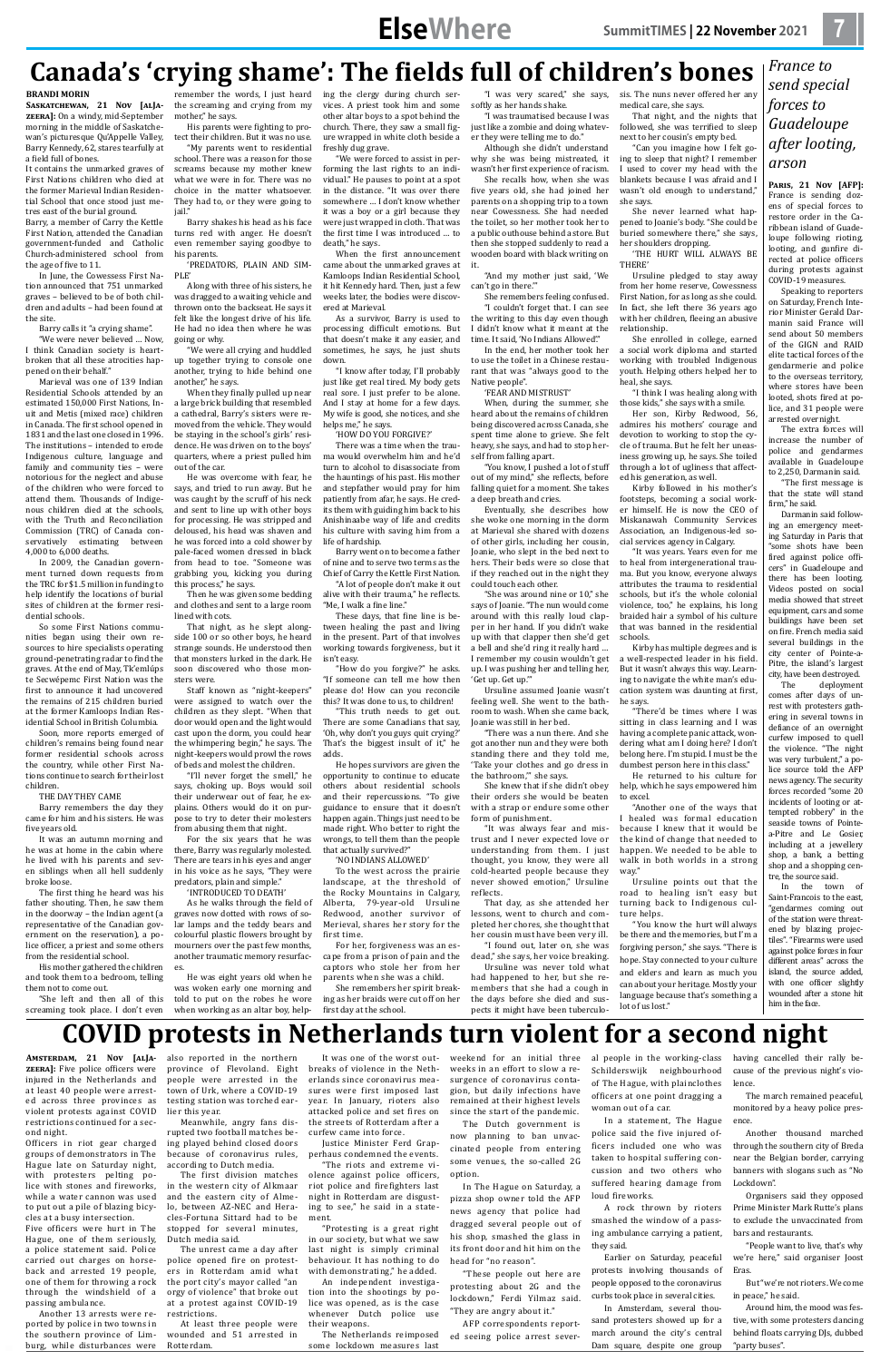# **Canada's 'crying shame': The fields full of children's bones**

### **Brandi Morin**

SASKATCHEWAN, 21 NOV [ALJA**zeera]:** On a windy, mid-September morning in the middle of Saskatchewan's picturesque Qu'Appelle Valley, Barry Kennedy, 62, stares tearfully at a field full of bones.

It contains the unmarked graves of First Nations children who died at the former Marieval Indian Residential School that once stood just metres east of the burial ground.

Barry, a member of Carry the Kettle First Nation, attended the Canadian government-funded and Catholic Church-administered school from the age of five to 11.

In June, the Cowessess First Nation announced that 751 unmarked graves – believed to be of both children and adults – had been found at the site.

Barry calls it "a crying shame". "We were never believed … Now, I think Canadian society is heart-

broken that all these atrocities happened on their behalf." Marieval was one of 139 Indian

Residential Schools attended by an estimated 150,000 First Nations, Inuit and Metis (mixed race) children in Canada. The first school opened in 1831 and the last one closed in 1996. The institutions – intended to erode Indigenous culture, language and family and community ties – were notorious for the neglect and abuse of the children who were forced to attend them. Thousands of Indigenous children died at the schools, with the Truth and Reconciliation Commission (TRC) of Canada conservatively estimating between 4,000 to 6,000 deaths.

In 2009, the Canadian government turned down requests from the TRC for \$1.5 million in funding to help identify the locations of burial sites of children at the former residential schools.

So some First Nations communities began using their own resources to hire specialists operating ground-penetrating radar to find the graves. At the end of May, Tk'emlúps te Secwépemc First Nation was the first to announce it had uncovered the remains of 215 children buried at the former Kamloops Indian Residential School in British Columbia.

Soon, more reports emerged of children's remains being found near former residential schools across the country, while other First Nations continue to search for their lost children.

THE DAY THEY CAME

Barry remembers the day they came for him and his sisters. He was five years old.

It was an autumn morning and he was at home in the cabin where he lived with his parents and seven siblings when all hell suddenly broke loose.

The first thing he heard was his father shouting. Then, he saw them in the doorway – the Indian agent (a representative of the Canadian government on the reservation), a police officer, a priest and some others from the residential school.

His mother gathered the children and took them to a bedroom, telling them not to come out.

"She left and then all of this screaming took place. I don't even

the screaming and crying from my mother," he says.

His parents were fighting to protect their children. But it was no use.

"My parents went to residential school. There was a reason for those screams because my mother knew what we were in for. There was no choice in the matter whatsoever. They had to, or they were going to jail."

Barry shakes his head as his face turns red with anger. He doesn't even remember saying goodbye to his parents.

'PREDATORS, PLAIN AND SIM-PLE'

Along with three of his sisters, he was dragged to a waiting vehicle and thrown onto the backseat. He says it felt like the longest drive of his life. He had no idea then where he was going or why.

"We were all crying and huddled up together trying to console one another, trying to hide behind one another," he says.

When they finally pulled up near a large brick building that resembled a cathedral, Barry's sisters were removed from the vehicle. They would be staying in the school's girls' residence. He was driven on to the boys' quarters, where a priest pulled him out of the car.

He was overcome with fear, he says, and tried to run away. But he was caught by the scruff of his neck and sent to line up with other boys for processing. He was stripped and deloused, his head was shaven and he was forced into a cold shower by pale-faced women dressed in black from head to toe. "Someone was grabbing you, kicking you during this process," he says.

remember the words, I just heard ing the clergy during church services. A priest took him and some other altar boys to a spot behind the church. There, they saw a small figure wrapped in white cloth beside a freshly dug grave.

Then he was given some bedding and clothes and sent to a large room lined with cots.

That night, as he slept alongside 100 or so other boys, he heard strange sounds. He understood then that monsters lurked in the dark. He soon discovered who those monsters were.

Staff known as "night-keepers" were assigned to watch over the children as they slept. "When that door would open and the light would cast upon the dorm, you could hear the whimpering begin," he says. The night-keepers would prowl the rows of beds and molest the children.

"I'll never forget the smell," he says, choking up. Boys would soil their underwear out of fear, he explains. Others would do it on purpose to try to deter their molesters from abusing them that night. For the six years that he was there, Barry was regularly molested. There are tears in his eyes and anger in his voice as he says, "They were predators, plain and simple." 'INTRODUCED TO DEATH' As he walks through the field of graves now dotted with rows of solar lamps and the teddy bears and colourful plastic flowers brought by mourners over the past few months, another traumatic memory resurfaces.

He was eight years old when he was woken early one morning and told to put on the robes he wore when working as an altar boy, help-

"We were forced to assist in performing the last rights to an individual." He pauses to point at a spot in the distance. "It was over there somewhere … I don't know whether it was a boy or a girl because they were just wrapped in cloth. That was the first time I was introduced … to death," he says.

When the first announcement came about the unmarked graves at Kamloops Indian Residential School, it hit Kennedy hard. Then, just a few weeks later, the bodies were discovered at Marieval.

As a survivor, Barry is used to processing difficult emotions. But that doesn't make it any easier, and sometimes, he says, he just shuts down.

"I know after today, I'll probably just like get real tired. My body gets real sore. I just prefer to be alone. And I stay at home for a few days. My wife is good, she notices, and she helps me," he says.

'HOW DO YOU FORGIVE?'

because I knew that it would be the kind of change that needed to happen. We needed to be able to walk in both worlds in a strong way."

There was a time when the trauma would overwhelm him and he'd turn to alcohol to disassociate from the hauntings of his past. His mother and stepfather would pray for him patiently from afar, he says. He credits them with guiding him back to his Anishinaabe way of life and credits his culture with saving him from a life of hardship.

Barry went on to become a father of nine and to serve two terms as the Chief of Carry the Kettle First Nation.

"A lot of people don't make it out alive with their trauma," he reflects. "Me, I walk a fine line."

These days, that fine line is between healing the past and living in the present. Part of that involves working towards forgiveness, but it isn't easy.

"How do you forgive?" he asks. "If someone can tell me how then please do! How can you reconcile this? It was done to us, to children!

"This truth needs to get out. There are some Canadians that say, 'Oh, why don't you guys quit crying?' That's the biggest insult of it," he adds.

He hopes survivors are given the opportunity to continue to educate others about residential schools and their repercussions. "To give guidance to ensure that it doesn't happen again. Things just need to be made right. Who better to right the wrongs, to tell them than the people that actually survived?"

#### 'NO INDIANS ALLOWED'

To the west across the prairie landscape, at the threshold of the Rocky Mountains in Calgary, Alberta, 79-year-old Ursuline Redwood, another survivor of Merieval, shares her story for the first time.

For her, forgiveness was an escape from a prison of pain and the captors who stole her from her parents when she was a child.

She remembers her spirit breaking as her braids were cut off on her first day at the school.

softly as her hands shake.

"I was traumatised because I was just like a zombie and doing whatever they were telling me to do." Although she didn't understand

why she was being mistreated, it wasn't her first experience of racism.

She recalls how, when she was five years old, she had joined her parents on a shopping trip to a town near Cowessness. She had needed the toilet, so her mother took her to a public outhouse behind a store. But then she stopped suddenly to read a wooden board with black writing on it.

"And my mother just said, 'We can't go in there.'"

She remembers feeling confused. "I couldn't forget that. I can see the writing to this day even though I didn't know what it meant at the time. It said, 'No Indians Allowed'."

In the end, her mother took her to use the toilet in a Chinese restaurant that was "always good to the Native people".

'FEAR AND MISTRUST'

When, during the summer, she heard about the remains of children being discovered across Canada, she spent time alone to grieve. She felt heavy, she says, and had to stop herself from falling apart.

"You know, I pushed a lot of stuff out of my mind," she reflects, before falling quiet for a moment. She takes a deep breath and cries.

Eventually, she describes how she woke one morning in the dorm at Marieval she shared with dozens of other girls, including her cousin, Joanie, who slept in the bed next to hers. Their beds were so close that if they reached out in the night they could touch each other.

"I was very scared," she says, sis. The nuns never offered her any medical care, she says.

> deployment comes after days of unrest with protesters gathering in several towns in defiance of an overnight curfew imposed to quell the violence. "The night was very turbulent," a police source told the AFP news agency. The security forces recorded "some 20 incidents of looting or attempted robbery" in the seaside towns of Pointea-Pitre and Le Gosier, including at a jewellery shop, a bank, a betting shop and a shopping centre, the source said.

"She was around nine or 10," she says of Joanie. "The nun would come around with this really loud clapper in her hand. If you didn't wake up with that clapper then she'd get a bell and she'd ring it really hard … I remember my cousin wouldn't get up. I was pushing her and telling her, 'Get up. Get up.'"

Ursuline assumed Joanie wasn't feeling well. She went to the bathroom to wash. When she came back, Joanie was still in her bed.

"There was a nun there. And she got another nun and they were both standing there and they told me, 'Take your clothes and go dress in the bathroom,'" she says.

She knew that if she didn't obey their orders she would be beaten with a strap or endure some other form of punishment.

"It was always fear

trust and I never expected love or understanding from them. I just thought, you know, they were all cold-hearted people because they never showed emotion," Ursuline reflects.

That day, as she attended her lessons, went to church and completed her chores, she thought that her cousin must have been very ill.

"I found out, later on, she was dead," she says, her voice breaking.

Ursuline was never told what had happened to her, but she remembers that she had a cough in the days before she died and suspects it might have been tuberculo-

That night, and the nights that followed, she was terrified to sleep next to her cousin's empty bed.

"Can you imagine how I felt going to sleep that night? I remember I used to cover my head with the blankets because I was afraid and I wasn't old enough to understand," she says.

She never learned what happened to Joanie's body. "She could be buried somewhere there," she says, her shoulders dropping.

'THE HURT WILL ALWAYS BE THERE'

Ursuline pledged to stay away from her home reserve, Cowessness First Nation, for as long as she could. In fact, she left there 36 years ago with her children, fleeing an abusive relationship.

She enrolled in college, earned a social work diploma and started working with troubled Indigenous youth. Helping others helped her to heal, she says.

"I think I was healing along with those kids," she says with a smile.

Her son, Kirby Redwood, 56, admires his mothers' courage and devotion to working to stop the cycle of trauma. But he felt her uneasiness growing up, he says. She toiled through a lot of ugliness that affected his generation, as well.

Kirby followed in his mother's footsteps, becoming a social worker himself. He is now the CEO of Miskanawah Community Services Association, an Indigenous-led social services agency in Calgary.

"It was years. Years even for me to heal from intergenerational trauma. But you know, everyone always attributes the trauma to residential schools, but it's the whole colonial violence, too," he explains, his long braided hair a symbol of his culture that was banned in the residential schools.

Kirby has multiple degrees and is a well-respected leader in his field. But it wasn't always this way. Learning to navigate the white man's education system was daunting at first,

he says. "There'd be times where I was sitting in class learning and I was having a complete panic attack, wondering what am I doing here? I don't belong here. I'm stupid. I must be the dumbest person here in this class."

He returned to his culture for help, which he says empowered him to excel.

"Another one of the ways that I healed was formal education

Ursuline points out that the road to healing isn't easy but turning back to Indigenous culture helps.

"You know the hurt will always be there and the memories, but I'm a forgiving person," she says. "There is hope. Stay connected to your culture and elders and learn as much you can about your heritage. Mostly your language because that's something a lot of us lost."

## **COVID protests in Netherlands turn violent for a second night**

**Amsterdam, 21 Nov [alJazeera]:** Five police officers were injured in the Netherlands and at least 40 people were arrested across three provinces as violent protests against COVID restrictions continued for a second night.

Officers in riot gear charged groups of demonstrators in The Hague late on Saturday night, with protesters pelting police with stones and fireworks, while a water cannon was used to put out a pile of blazing bicycles at a busy intersection. Five officers were hurt in The Hague, one of them seriously, a police statement said. Police carried out charges on horseback and arrested 19 people, one of them for throwing a rock through the windshield of a passing ambulance.

Another 13 arrests were reported by police in two towns in the southern province of Limburg, while disturbances were also reported in the northern province of Flevoland. Eight people were arrested in the town of Urk, where a COVID-19 testing station was torched earlier this year.

Meanwhile, angry fans disrupted two football matches being played behind closed doors because of coronavirus rules, according to Dutch media.

The first division matches in the western city of Alkmaar and the eastern city of Almelo, between AZ-NEC and Heracles-Fortuna Sittard had to be stopped for several minutes, Dutch media said.

The unrest came a day after police opened fire on protesters in Rotterdam amid what the port city's mayor called "an orgy of violence" that broke out at a protest against COVID-19 restrictions.

At least three people were wounded and 51 arrested in Rotterdam.

It was one of the worst outbreaks of violence in the Netherlands since coronavirus measures were first imposed last year. In January, rioters also attacked police and set fires on the streets of Rotterdam after a curfew came into force.

Justice Minister Ferd Grapperhaus condemned the events.

"The riots and extreme violence against police officers, riot police and firefighters last night in Rotterdam are disgusting to see," he said in a statement.

"Protesting is a great right in our society, but what we saw last night is simply criminal behaviour. It has nothing to do with demonstrating," he added.

An independent investigation into the shootings by police was opened, as is the case whenever Dutch police use their weapons.

The Netherlands reimposed some lockdown measures last

weekend for an initial three weeks in an effort to slow a resurgence of coronavirus contagion, but daily infections have remained at their highest levels since the start of the pandemic.

The Dutch government is now planning to ban unvaccinated people from entering some venues, the so-called 2G option.

In The Hague on Saturday, a pizza shop owner told the AFP news agency that police had dragged several people out of his shop, smashed the glass in its front door and hit him on the head for "no reason".

"These people out here are protesting about 2G and the lockdown," Ferdi Yilmaz said. "They are angry about it."

AFP correspondents reported seeing police arrest sever-

al people in the working-class Schilderswijk neighbourhood of The Hague, with plainclothes officers at one point dragging a woman out of a car.

In a statement, The Hague police said the five injured officers included one who was taken to hospital suffering concussion and two others who suffered hearing damage from loud fireworks.

A rock thrown by rioters smashed the window of a passing ambulance carrying a patient, they said.

Earlier on Saturday, peaceful protests involving thousands of people opposed to the coronavirus curbs took place in several cities.

In Amsterdam, several thousand protesters showed up for a march around the city's central Dam square, despite one group having cancelled their rally because of the previous night's violence.

The march remained peaceful, monitored by a heavy police presence.

Another thousand marched through the southern city of Breda near the Belgian border, carrying banners with slogans such as "No Lockdown".

Organisers said they opposed Prime Minister Mark Rutte's plans to exclude the unvaccinated from bars and restaurants.

"People want to live, that's why we're here," said organiser Joost Eras.

But "we're not rioters. We come in peace," he said.

Around him, the mood was festive, with some protesters dancing behind floats carrying DJs, dubbed "party buses".

*France to send special forces to Guadeloupe after looting, arson*

**Paris, 21 Nov [AFP]:**  France is sending dozens of special forces to restore order in the Caribbean island of Guadeloupe following rioting, looting, and gunfire directed at police officers during protests against COVID-19 measures.

Speaking to reporters on Saturday, French Interior Minister Gerald Darmanin said France will send about 50 members of the GIGN and RAID elite tactical forces of the gendarmerie and police to the overseas territory, where stores have been looted, shots fired at police, and 31 people were arrested overnight.

The extra forces will increase the number of police and gendarmes available in Guadeloupe to 2,250, Darmanin said.

"The first message is that the state will stand firm," he said.

Darmanin said following an emergency meeting Saturday in Paris that "some shots have been fired against police officers" in Guadeloupe and there has been looting. Videos posted on social media showed that street equipment, cars and some buildings have been set on fire. French media said several buildings in the city center of Pointe-a-Pitre, the island's largest city, have been destroyed.

In the town of Saint-Francois to the east, "gendarmes coming out of the station were threatened by blazing projectiles". "Firearms were used against police forces in four different areas" across the island, the source added, with one officer slightly wounded after a stone hit him in the face.